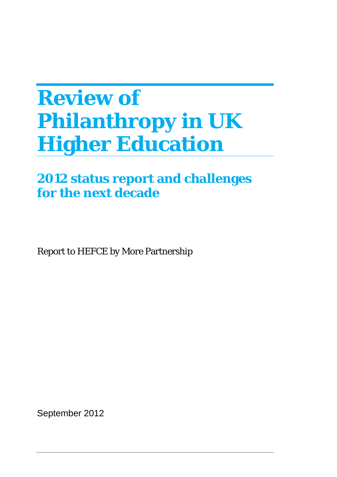# **Review of Philanthropy in UK Higher Education**

# **2012 status report and challenges for the next decade**

Report to HEFCE by More Partnership

September 2012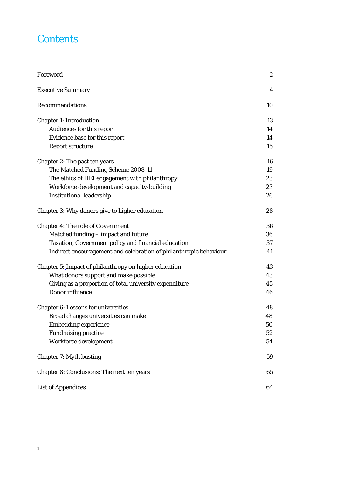### **Contents**

| Foreword                                                          | $\boldsymbol{2}$ |
|-------------------------------------------------------------------|------------------|
| <b>Executive Summary</b>                                          | 4                |
| Recommendations                                                   | 10               |
| <b>Chapter 1: Introduction</b>                                    | 13               |
| Audiences for this report                                         | 14               |
| Evidence base for this report                                     | 14               |
| <b>Report structure</b>                                           | 15               |
| Chapter 2: The past ten years                                     | 16               |
| The Matched Funding Scheme 2008-11                                | 19               |
| The ethics of HEI engagement with philanthropy                    | 23               |
| Workforce development and capacity-building                       | 23               |
| <b>Institutional leadership</b>                                   | 26               |
| Chapter 3: Why donors give to higher education                    | 28               |
| <b>Chapter 4: The role of Government</b>                          | 36               |
| Matched funding - impact and future                               | 36               |
| Taxation, Government policy and financial education               | 37               |
| Indirect encouragement and celebration of philanthropic behaviour | 41               |
| Chapter 5: Impact of philanthropy on higher education             | 43               |
| What donors support and make possible                             | 43               |
| Giving as a proportion of total university expenditure            | 45               |
| Donor influence                                                   | 46               |
| <b>Chapter 6: Lessons for universities</b>                        | 48               |
| Broad changes universities can make                               | 48               |
| <b>Embedding experience</b>                                       | 50               |
| <b>Fundraising practice</b>                                       | 52               |
| Workforce development                                             | 54               |
| <b>Chapter 7: Myth busting</b>                                    | 59               |
| Chapter 8: Conclusions: The next ten years                        | 65               |
| <b>List of Appendices</b>                                         | 64               |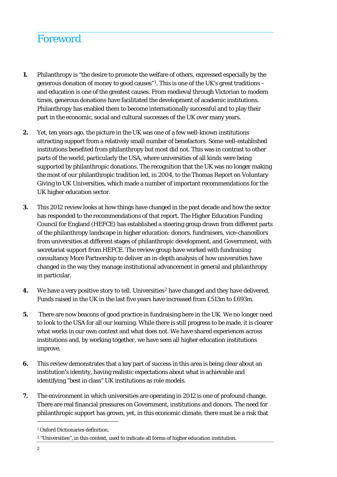# Foreword

- **1.** Philanthropy is "the desire to promote the welfare of others, expressed especially by the generous donation of money to good causes"<sup>[1](#page-2-0)</sup>. This is one of the UK's great traditions  $$ and education is one of the greatest causes. From medieval through Victorian to modern times, generous donations have facilitated the development of academic institutions. Philanthropy has enabled them to become internationally successful and to play their part in the economic, social and cultural successes of the UK over many years.
- **2.** Yet, ten years ago, the picture in the UK was one of a few well-known institutions attracting support from a relatively small number of benefactors. Some well-established institutions benefited from philanthropy but most did not. This was in contrast to other parts of the world, particularly the USA, where universities of all kinds were being supported by philanthropic donations. The recognition that the UK was no longer making the most of our philanthropic tradition led, in 2004, to the Thomas Report on Voluntary Giving to UK Universities, which made a number of important recommendations for the UK higher education sector.
- **3.** This 2012 review looks at how things have changed in the past decade and how the sector has responded to the recommendations of that report. The Higher Education Funding Council for England (HEFCE) has established a steering group drawn from different parts of the philanthropy landscape in higher education: donors, fundraisers, vice-chancellors from universities at different stages of philanthropic development, and Government, with secretariat support from HEFCE. The review group have worked with fundraising consultancy More Partnership to deliver an in-depth analysis of how universities have changed in the way they manage institutional advancement in general and philanthropy in particular.
- **4.** We have a very positive story to tell. Universities<sup>[2](#page-2-1)</sup> have changed and they have delivered. Funds raised in the UK in the last five years have increased from £513m to £693m.
- **5.** There are now beacons of good practice in fundraising here in the UK. We no longer need to look to the USA for all our learning. While there is still progress to be made, it is clearer what works in our own context and what does not. We have shared experiences across institutions and, by working together, we have seen all higher education institutions improve.
- **6.** This review demonstrates that a key part of success in this area is being clear about an institution's identity, having realistic expectations about what is achievable and identifying "best in class" UK institutions as role models.
- **7.** The environment in which universities are operating in 2012 is one of profound change. There are real financial pressures on Government, institutions and donors. The need for philanthropic support has grown, yet, in this economic climate, there must be a risk that

<span id="page-2-0"></span><sup>1</sup> Oxford Dictionaries definition.

<span id="page-2-1"></span><sup>2 &</sup>quot;Universities", in this context, used to indicate all forms of higher education institution.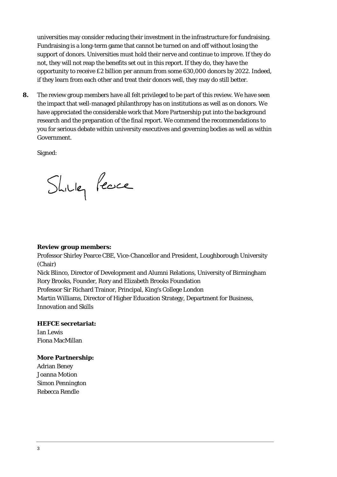universities may consider reducing their investment in the infrastructure for fundraising. Fundraising is a long-term game that cannot be turned on and off without losing the support of donors. Universities must hold their nerve and continue to improve. If they do not, they will not reap the benefits set out in this report. If they do, they have the opportunity to receive £2 billion per annum from some 630,000 donors by 2022. Indeed, if they learn from each other and treat their donors well, they may do still better.

**8.** The review group members have all felt privileged to be part of this review. We have seen the impact that well-managed philanthropy has on institutions as well as on donors. We have appreciated the considerable work that More Partnership put into the background research and the preparation of the final report. We commend the recommendations to you for serious debate within university executives and governing bodies as well as within Government.

Signed:

Shilley Peace

#### **Review group members:**

Professor Shirley Pearce CBE, Vice-Chancellor and President, Loughborough University (Chair)

Nick Blinco, Director of Development and Alumni Relations, University of Birmingham Rory Brooks, Founder, Rory and Elizabeth Brooks Foundation

Professor Sir Richard Trainor, Principal, King's College London

Martin Williams, Director of Higher Education Strategy, Department for Business, Innovation and Skills

### **HEFCE secretariat:**

Ian Lewis Fiona MacMillan

### **More Partnership:**

Adrian Beney Joanna Motion Simon Pennington Rebecca Rendle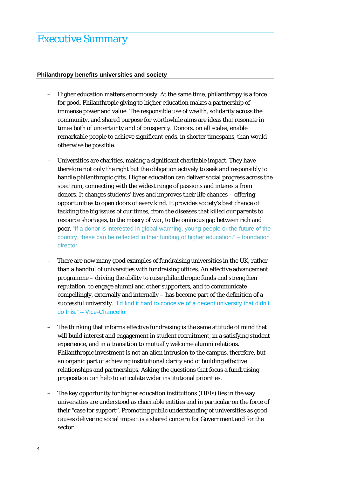### Executive Summary

### **Philanthropy benefits universities and society**

- Higher education matters enormously. At the same time, philanthropy is a force for good. Philanthropic giving to higher education makes a partnership of immense power and value. The responsible use of wealth, solidarity across the community, and shared purpose for worthwhile aims are ideas that resonate in times both of uncertainty and of prosperity. Donors, on all scales, enable remarkable people to achieve significant ends, in shorter timespans, than would otherwise be possible.
- Universities are charities, making a significant charitable impact. They have therefore not only the right but the obligation actively to seek and responsibly to handle philanthropic gifts. Higher education can deliver social progress across the spectrum, connecting with the widest range of passions and interests from donors. It changes students' lives and improves their life chances – offering opportunities to open doors of every kind. It provides society's best chance of tackling the big issues of our times, from the diseases that killed our parents to resource shortages, to the misery of war, to the ominous gap between rich and poor. "If a donor is interested in global warming, young people or the future of the country, these can be reflected in their funding of higher education." – foundation director
- There are now many good examples of fundraising universities in the UK, rather than a handful of universities with fundraising offices. An effective advancement programme – driving the ability to raise philanthropic funds and strengthen reputation, to engage alumni and other supporters, and to communicate compellingly, externally and internally – has become part of the definition of a successful university. "I'd find it hard to conceive of a decent university that didn't do this." – Vice-Chancellor
- The thinking that informs effective fundraising is the same attitude of mind that will build interest and engagement in student recruitment, in a satisfying student experience, and in a transition to mutually welcome alumni relations. Philanthropic investment is not an alien intrusion to the campus, therefore, but an organic part of achieving institutional clarity and of building effective relationships and partnerships. Asking the questions that focus a fundraising proposition can help to articulate wider institutional priorities.
- The key opportunity for higher education institutions (HEIs) lies in the way universities are understood as charitable entities and in particular on the force of their "case for support". Promoting public understanding of universities as good causes delivering social impact is a shared concern for Government and for the sector.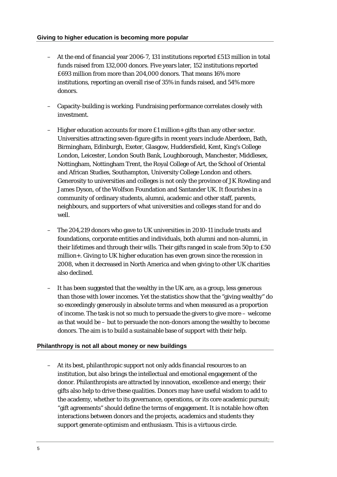- At the end of financial year 2006-7, 131 institutions reported £513 million in total funds raised from 132,000 donors. Five years later, 152 institutions reported £693 million from more than 204,000 donors. That means 16% more institutions, reporting an overall rise of 35% in funds raised, and 54% more donors.
- Capacity-building is working. Fundraising performance correlates closely with investment.
- Higher education accounts for more £1 million+ gifts than any other sector. Universities attracting seven-figure gifts in recent years include Aberdeen, Bath, Birmingham, Edinburgh, Exeter, Glasgow, Huddersfield, Kent, King's College London, Leicester, London South Bank, Loughborough, Manchester, Middlesex, Nottingham, Nottingham Trent, the Royal College of Art, the School of Oriental and African Studies, Southampton, University College London and others. Generosity to universities and colleges is not only the province of JK Rowling and James Dyson, of the Wolfson Foundation and Santander UK. It flourishes in a community of ordinary students, alumni, academic and other staff, parents, neighbours, and supporters of what universities and colleges stand for and do well.
- The 204,219 donors who gave to UK universities in 2010-11 include trusts and foundations, corporate entities and individuals, both alumni and non-alumni, in their lifetimes and through their wills. Their gifts ranged in scale from 50p to £50 million+. Giving to UK higher education has even grown since the recession in 2008, when it decreased in North America and when giving to other UK charities also declined.
- It has been suggested that the wealthy in the UK are, as a group, less generous than those with lower incomes. Yet the statistics show that the "giving wealthy" do so exceedingly generously in absolute terms and when measured as a proportion of income. The task is not so much to persuade the givers to give more – welcome as that would be – but to persuade the non-donors among the wealthy to become donors. The aim is to build a sustainable base of support with their help.

### **Philanthropy is not all about money or new buildings**

– At its best, philanthropic support not only adds financial resources to an institution, but also brings the intellectual and emotional engagement of the donor. Philanthropists are attracted by innovation, excellence and energy; their gifts also help to drive these qualities. Donors may have useful wisdom to add to the academy, whether to its governance, operations, or its core academic pursuit; "gift agreements" should define the terms of engagement. It is notable how often interactions between donors and the projects, academics and students they support generate optimism and enthusiasm. This is a virtuous circle.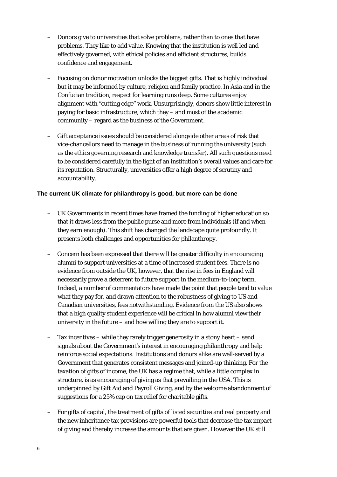- Donors give to universities that solve problems, rather than to ones that have problems. They like to add value. Knowing that the institution is well led and effectively governed, with ethical policies and efficient structures, builds confidence and engagement.
- Focusing on donor motivation unlocks the biggest gifts. That is highly individual but it may be informed by culture, religion and family practice. In Asia and in the Confucian tradition, respect for learning runs deep. Some cultures enjoy alignment with "cutting edge" work. Unsurprisingly, donors show little interest in paying for basic infrastructure, which they – and most of the academic community – regard as the business of the Government.
- Gift acceptance issues should be considered alongside other areas of risk that vice-chancellors need to manage in the business of running the university (such as the ethics governing research and knowledge transfer). All such questions need to be considered carefully in the light of an institution's overall values and care for its reputation. Structurally, universities offer a high degree of scrutiny and accountability.

### **The current UK climate for philanthropy is good, but more can be done**

- UK Governments in recent times have framed the funding of higher education so that it draws less from the public purse and more from individuals (if and when they earn enough). This shift has changed the landscape quite profoundly. It presents both challenges and opportunities for philanthropy.
- Concern has been expressed that there will be greater difficulty in encouraging alumni to support universities at a time of increased student fees. There is no evidence from outside the UK, however, that the rise in fees in England will necessarily prove a deterrent to future support in the medium-to-long term. Indeed, a number of commentators have made the point that people tend to value what they pay for, and drawn attention to the robustness of giving to US and Canadian universities, fees notwithstanding. Evidence from the US also shows that a high quality student experience will be critical in how alumni view their university in the future – and how willing they are to support it.
- Tax incentives while they rarely trigger generosity in a stony heart send signals about the Government's interest in encouraging philanthropy and help reinforce social expectations. Institutions and donors alike are well-served by a Government that generates consistent messages and joined-up thinking. For the taxation of gifts of income, the UK has a regime that, while a little complex in structure, is as encouraging of giving as that prevailing in the USA. This is underpinned by Gift Aid and Payroll Giving, and by the welcome abandonment of suggestions for a 25% cap on tax relief for charitable gifts.
- For gifts of capital, the treatment of gifts of listed securities and real property and the new inheritance tax provisions are powerful tools that decrease the tax impact of giving and thereby increase the amounts that are given. However the UK still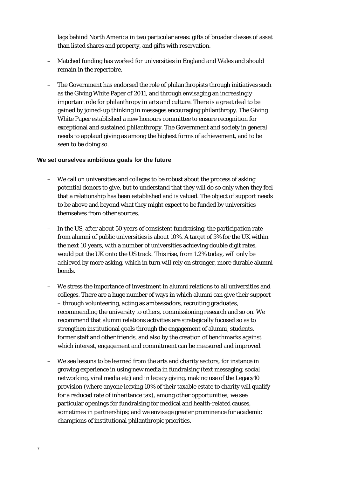lags behind North America in two particular areas: gifts of broader classes of asset than listed shares and property, and gifts with reservation.

- Matched funding has worked for universities in England and Wales and should remain in the repertoire.
- The Government has endorsed the role of philanthropists through initiatives such as the Giving White Paper of 2011, and through envisaging an increasingly important role for philanthropy in arts and culture. There is a great deal to be gained by joined-up thinking in messages encouraging philanthropy. The Giving White Paper established a new honours committee to ensure recognition for exceptional and sustained philanthropy. The Government and society in general needs to applaud giving as among the highest forms of achievement, and to be seen to be doing so.

### **We set ourselves ambitious goals for the future**

- We call on universities and colleges to be robust about the process of asking potential donors to give, but to understand that they will do so only when they feel that a relationship has been established and is valued. The object of support needs to be above and beyond what they might expect to be funded by universities themselves from other sources.
- In the US, after about 50 years of consistent fundraising, the participation rate from alumni of public universities is about 10%. A target of 5% for the UK within the next 10 years, with a number of universities achieving double digit rates, would put the UK onto the US track. This rise, from 1.2% today, will only be achieved by more asking, which in turn will rely on stronger, more durable alumni bonds.
- We stress the importance of investment in alumni relations to all universities and colleges. There are a huge number of ways in which alumni can give their support – through volunteering, acting as ambassadors, recruiting graduates, recommending the university to others, commissioning research and so on. We recommend that alumni relations activities are strategically focused so as to strengthen institutional goals through the engagement of alumni, students, former staff and other friends, and also by the creation of benchmarks against which interest, engagement and commitment can be measured and improved.
- We see lessons to be learned from the arts and charity sectors, for instance in growing experience in using new media in fundraising (text messaging, social networking, viral media etc) and in legacy giving, making use of the Legacy10 provision (where anyone leaving 10% of their taxable estate to charity will qualify for a reduced rate of inheritance tax), among other opportunities; we see particular openings for fundraising for medical and health-related causes, sometimes in partnerships; and we envisage greater prominence for academic champions of institutional philanthropic priorities.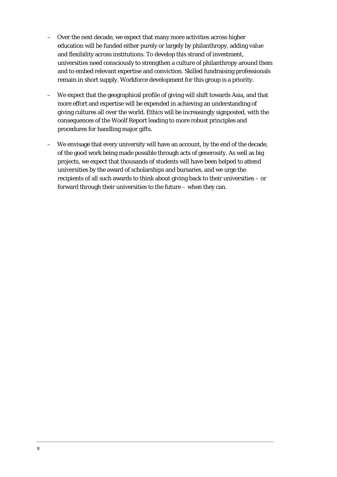- Over the next decade, we expect that many more activities across higher education will be funded either purely or largely by philanthropy, adding value and flexibility across institutions. To develop this strand of investment, universities need consciously to strengthen a culture of philanthropy around them and to embed relevant expertise and conviction. Skilled fundraising professionals remain in short supply. Workforce development for this group is a priority.
- We expect that the geographical profile of giving will shift towards Asia, and that more effort and expertise will be expended in achieving an understanding of giving cultures all over the world. Ethics will be increasingly signposted, with the consequences of the Woolf Report leading to more robust principles and procedures for handling major gifts.
- We envisage that every university will have an account, by the end of the decade, of the good work being made possible through acts of generosity. As well as big projects, we expect that thousands of students will have been helped to attend universities by the award of scholarships and bursaries, and we urge the recipients of all such awards to think about giving back to their universities – or forward through their universities to the future – when they can.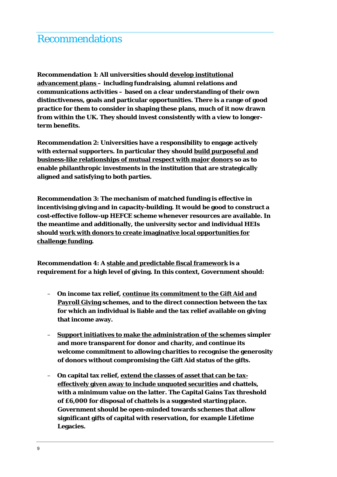### Recommendations

**Recommendation 1: All universities should develop institutional advancement plans – including fundraising, alumni relations and communications activities – based on a clear understanding of their own distinctiveness, goals and particular opportunities. There is a range of good practice for them to consider in shaping these plans, much of it now drawn from within the UK. They should invest consistently with a view to longerterm benefits.** 

**Recommendation 2: Universities have a responsibility to engage actively with external supporters. In particular they should build purposeful and business-like relationships of mutual respect with major donors so as to enable philanthropic investments in the institution that are strategically aligned and satisfying to both parties.** 

**Recommendation 3: The mechanism of matched funding is effective in incentivising giving and in capacity-building. It would be good to construct a cost-effective follow-up HEFCE scheme whenever resources are available. In the meantime and additionally, the university sector and individual HEIs should work with donors to create imaginative local opportunities for challenge funding.** 

**Recommendation 4: A stable and predictable fiscal framework is a requirement for a high level of giving. In this context, Government should:** 

- **On income tax relief, continue its commitment to the Gift Aid and Payroll Giving schemes, and to the direct connection between the tax for which an individual is liable and the tax relief available on giving that income away.**
- **Support initiatives to make the administration of the schemes simpler and more transparent for donor and charity, and continue its welcome commitment to allowing charities to recognise the generosity of donors without compromising the Gift Aid status of the gifts.**
- **On capital tax relief, extend the classes of asset that can be taxeffectively given away to include unquoted securities and chattels, with a minimum value on the latter. The Capital Gains Tax threshold of £6,000 for disposal of chattels is a suggested starting place. Government should be open-minded towards schemes that allow significant gifts of capital with reservation, for example Lifetime Legacies.**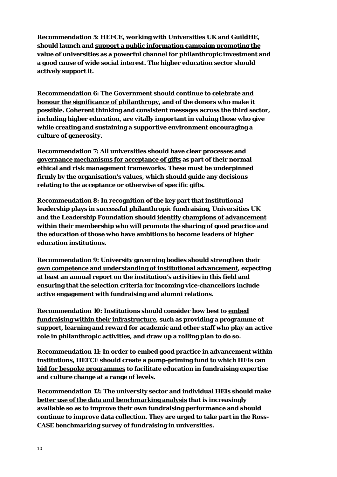**Recommendation 5: HEFCE, working with Universities UK and GuildHE, should launch and support a public information campaign promoting the value of universities as a powerful channel for philanthropic investment and a good cause of wide social interest. The higher education sector should actively support it.** 

**Recommendation 6: The Government should continue to celebrate and honour the significance of philanthropy, and of the donors who make it possible. Coherent thinking and consistent messages across the third sector, including higher education, are vitally important in valuing those who give while creating and sustaining a supportive environment encouraging a culture of generosity.** 

**Recommendation 7: All universities should have clear processes and governance mechanisms for acceptance of gifts as part of their normal ethical and risk management frameworks. These must be underpinned firmly by the organisation's values, which should guide any decisions relating to the acceptance or otherwise of specific gifts.** 

**Recommendation 8: In recognition of the key part that institutional leadership plays in successful philanthropic fundraising, Universities UK and the Leadership Foundation should identify champions of advancement within their membership who will promote the sharing of good practice and the education of those who have ambitions to become leaders of higher education institutions.** 

**Recommendation 9: University governing bodies should strengthen their own competence and understanding of institutional advancement, expecting at least an annual report on the institution's activities in this field and ensuring that the selection criteria for incoming vice-chancellors include active engagement with fundraising and alumni relations.** 

**Recommendation 10: Institutions should consider how best to embed fundraising within their infrastructure, such as providing a programme of support, learning and reward for academic and other staff who play an active role in philanthropic activities, and draw up a rolling plan to do so.** 

**Recommendation 11: In order to embed good practice in advancement within institutions, HEFCE should create a pump-priming fund to which HEIs can bid for bespoke programmes to facilitate education in fundraising expertise and culture change at a range of levels.** 

**Recommendation 12: The university sector and individual HEIs should make better use of the data and benchmarking analysis that is increasingly available so as to improve their own fundraising performance and should continue to improve data collection. They are urged to take part in the Ross-CASE benchmarking survey of fundraising in universities.**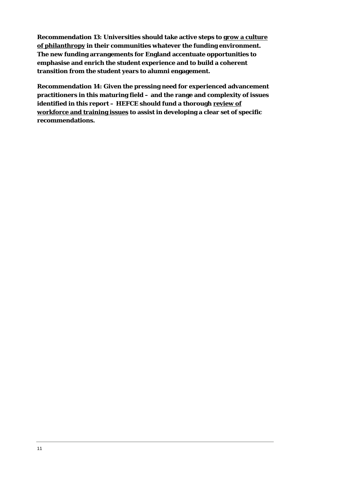**Recommendation 13: Universities should take active steps to grow a culture of philanthropy in their communities whatever the funding environment. The new funding arrangements for England accentuate opportunities to emphasise and enrich the student experience and to build a coherent transition from the student years to alumni engagement.** 

**Recommendation 14: Given the pressing need for experienced advancement practitioners in this maturing field – and the range and complexity of issues identified in this report – HEFCE should fund a thorough review of workforce and training issues to assist in developing a clear set of specific recommendations.**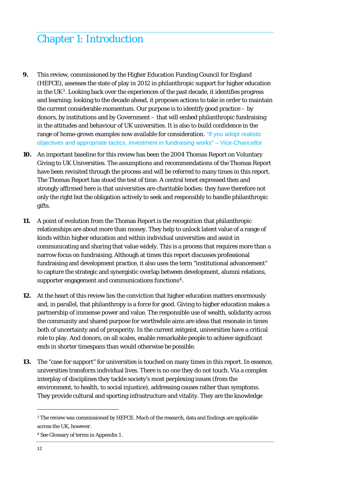# Chapter 1: Introduction

- **9.** This review, commissioned by the Higher Education Funding Council for England (HEFCE), assesses the state of play in 2012 in philanthropic support for higher education in the  $UK<sup>3</sup>$  $UK<sup>3</sup>$  $UK<sup>3</sup>$ . Looking back over the experiences of the past decade, it identifies progress and learning; looking to the decade ahead, it proposes actions to take in order to maintain the current considerable momentum. Our purpose is to identify good practice – by donors, by institutions and by Government – that will embed philanthropic fundraising in the attitudes and behaviour of UK universities. It is also to build confidence in the range of home-grown examples now available for consideration. "If you adopt realistic objectives and appropriate tactics, investment in fundraising works" – Vice-Chancellor
- **10.** An important baseline for this review has been the 2004 Thomas Report on Voluntary Giving to UK Universities. The assumptions and recommendations of the Thomas Report have been revisited through the process and will be referred to many times in this report. The Thomas Report has stood the test of time. A central tenet expressed then and strongly affirmed here is that universities are charitable bodies: they have therefore not only the right but the obligation actively to seek and responsibly to handle philanthropic gifts.
- **11.** A point of evolution from the Thomas Report is the recognition that philanthropic relationships are about more than money. They help to unlock latent value of a range of kinds within higher education and within individual universities and assist in communicating and sharing that value widely. This is a process that requires more than a narrow focus on fundraising. Although at times this report discusses professional fundraising and development practice, it also uses the term "institutional advancement" to capture the strategic and synergistic overlap between development, alumni relations, supporter engagement and communications functions<sup>[4](#page-12-1)</sup>.
- **12.** At the heart of this review lies the conviction that higher education matters enormously and, in parallel, that philanthropy is a force for good. Giving to higher education makes a partnership of immense power and value. The responsible use of wealth, solidarity across the community and shared purpose for worthwhile aims are ideas that resonate in times both of uncertainty and of prosperity. In the current *zeitgeis*t, universities have a critical role to play. And donors, on all scales, enable remarkable people to achieve significant ends in shorter timespans than would otherwise be possible.
- **13.** The "case for support" for universities is touched on many times in this report. In essence, universities transform individual lives. There is no one they do not touch. Via a complex interplay of disciplines they tackle society's most perplexing issues (from the environment, to health, to social injustice), addressing causes rather than symptoms. They provide cultural and sporting infrastructure and vitality. They are the knowledge

<span id="page-12-1"></span>4 See Glossary of terms in Appendix 1 .

<span id="page-12-0"></span><sup>3</sup> The review was commissioned by HEFCE. Much of the research, data and findings are applicable across the UK, however.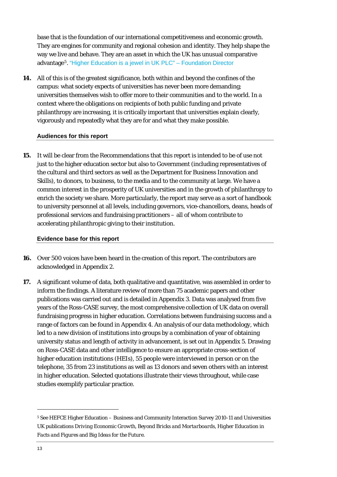base that is the foundation of our international competitiveness and economic growth. They are engines for community and regional cohesion and identity. They help shape the way we live and behave. They are an asset in which the UK has unusual comparative advantage5. "Higher Education is a jewel in UK PLC" – Foundation Director

**14.** All of this is of the greatest significance, both within and beyond the confines of the campus: what society expects of universities has never been more demanding; universities themselves wish to offer more to their communities and to the world. In a context where the obligations on recipients of both public funding and private philanthropy are increasing, it is critically important that universities explain clearly, vigorously and repeatedly what they are for and what they make possible.

### **Audiences for this report**

**15.** It will be clear from the Recommendations that this report is intended to be of use not just to the higher education sector but also to Government (including representatives of the cultural and third sectors as well as the Department for Business Innovation and Skills), to donors, to business, to the media and to the community at large. We have a common interest in the prosperity of UK universities and in the growth of philanthropy to enrich the society we share. More particularly, the report may serve as a sort of handbook to university personnel at all levels, including governors, vice-chancellors, deans, heads of professional services and fundraising practitioners – all of whom contribute to accelerating philanthropic giving to their institution.

### **Evidence base for this report**

- **16.** Over 500 voices have been heard in the creation of this report. The contributors are acknowledged in Appendix 2.
- **17.** A significant volume of data, both qualitative and quantitative, was assembled in order to inform the findings. A literature review of more than 75 academic papers and other publications was carried out and is detailed in Appendix 3. Data was analysed from five years of the Ross-CASE survey, the most comprehensive collection of UK data on overall fundraising progress in higher education. Correlations between fundraising success and a range of factors can be found in Appendix 4. An analysis of our data methodology, which led to a new division of institutions into groups by a combination of year of obtaining university status and length of activity in advancement, is set out in Appendix 5. Drawing on Ross-CASE data and other intelligence to ensure an appropriate cross-section of higher education institutions (HEIs), 55 people were interviewed in person or on the telephone, 35 from 23 institutions as well as 13 donors and seven others with an interest in higher education. Selected quotations illustrate their views throughout, while case studies exemplify particular practice.

 $\ddot{ }$ 

<sup>5</sup> See HEFCE Higher Education – Business and Community Interaction Survey 2010-11 and Universities UK publications *Driving Economic Growth*, *Beyond Bricks and Mortarboards*, *Higher Education in Facts and Figures* and *Big Ideas for the Future.*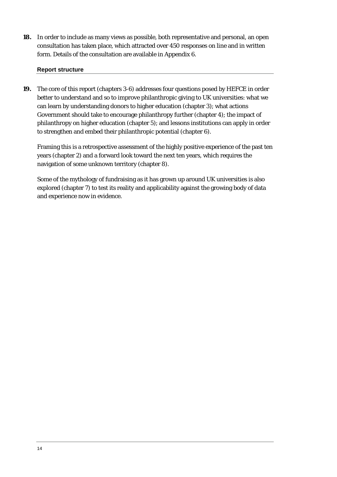**18.** In order to include as many views as possible, both representative and personal, an open consultation has taken place, which attracted over 450 responses on line and in written form. Details of the consultation are available in Appendix 6.

### **Report structure**

**19.** The core of this report (chapters 3-6) addresses four questions posed by HEFCE in order better to understand and so to improve philanthropic giving to UK universities: what we can learn by understanding donors to higher education (chapter 3); what actions Government should take to encourage philanthropy further (chapter 4); the impact of philanthropy on higher education (chapter 5); and lessons institutions can apply in order to strengthen and embed their philanthropic potential (chapter 6).

Framing this is a retrospective assessment of the highly positive experience of the past ten years (chapter 2) and a forward look toward the next ten years, which requires the navigation of some unknown territory (chapter 8).

Some of the mythology of fundraising as it has grown up around UK universities is also explored (chapter 7) to test its reality and applicability against the growing body of data and experience now in evidence.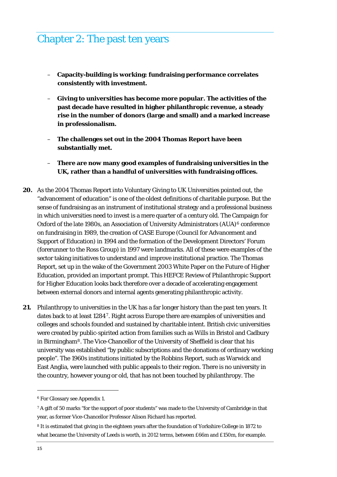### Chapter 2: The past ten years

- **Capacity-building is working: fundraising performance correlates consistently with investment.**
- **Giving to universities has become more popular. The activities of the past decade have resulted in higher philanthropic revenue, a steady rise in the number of donors (large and small) and a marked increase in professionalism.**
- **The challenges set out in the 2004 Thomas Report have been substantially met.**
- **There are now many good examples of fundraising universities in the UK, rather than a handful of universities with fundraising offices.**
- **20.** As the 2004 Thomas Report into Voluntary Giving to UK Universities pointed out, the "advancement of education" is one of the oldest definitions of charitable purpose. But the sense of fundraising as an instrument of institutional strategy and a professional business in which universities need to invest is a mere quarter of a century old. The Campaign for Oxford of the late 1980s, an Association of University Administrators  $(AUA)^6$  $(AUA)^6$  conference on fundraising in 1989, the creation of CASE Europe (Council for Advancement and Support of Education) in 1994 and the formation of the Development Directors' Forum (forerunner to the Ross Group) in 1997 were landmarks. All of these were examples of the sector taking initiatives to understand and improve institutional practice. The Thomas Report, set up in the wake of the Government 2003 White Paper on the Future of Higher Education, provided an important prompt. This HEFCE Review of Philanthropic Support for Higher Education looks back therefore over a decade of accelerating engagement between external donors and internal agents generating philanthropic activity.
- **21.** Philanthropy to universities in the UK has a far longer history than the past ten years. It dates back to at least 1284[7](#page-15-1). Right across Europe there are examples of universities and colleges and schools founded and sustained by charitable intent. British civic universities were created by public-spirited action from families such as Wills in Bristol and Cadbury in Birmingham[8](#page-15-2). The Vice-Chancellor of the University of Sheffield is clear that his university was established "by public subscriptions and the donations of ordinary working people". The 1960s institutions initiated by the Robbins Report, such as Warwick and East Anglia, were launched with public appeals to their region. There is no university in the country, however young or old, that has not been touched by philanthropy. The

 $\ddot{ }$ 

<span id="page-15-0"></span><sup>6</sup> For Glossary see Appendix 1.

<span id="page-15-1"></span><sup>7</sup> A gift of 50 marks "for the support of poor students" was made to the University of Cambridge in that year, as former Vice-Chancellor Professor Alison Richard has reported.

<span id="page-15-2"></span><sup>8</sup> It is estimated that giving in the eighteen years after the foundation of Yorkshire College in 1872 to what became the University of Leeds is worth, in 2012 terms, between £66m and £150m, for example.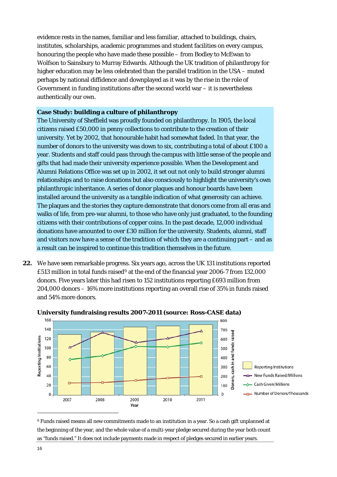evidence rests in the names, familiar and less familiar, attached to buildings, chairs, institutes, scholarships, academic programmes and student facilities on every campus, honouring the people who have made these possible – from Bodley to McEwan to Wolfson to Sainsbury to Murray Edwards. Although the UK tradition of philanthropy for higher education may be less celebrated than the parallel tradition in the USA – muted perhaps by national diffidence and downplayed as it was by the rise in the role of Government in funding institutions after the second world war  $-$  it is nevertheless authentically our own.

### **Case Study: building a culture of philanthropy**

The University of Sheffield was proudly founded on philanthropy. In 1905, the local citizens raised £50,000 in penny collections to contribute to the creation of their university. Yet by 2002, that honourable habit had somewhat faded. In that year, the number of donors to the university was down to six, contributing a total of about £100 a year. Students and staff could pass through the campus with little sense of the people and gifts that had made their university experience possible. When the Development and Alumni Relations Office was set up in 2002, it set out not only to build stronger alumni relationships and to raise donations but also consciously to highlight the university's own philanthropic inheritance. A series of donor plaques and honour boards have been installed around the university as a tangible indication of what generosity can achieve. The plaques and the stories they capture demonstrate that donors come from all eras and walks of life, from pre-war alumni, to those who have only just graduated, to the founding citizens with their contributions of copper coins. In the past decade, 12,000 individual donations have amounted to over £30 million for the university. Students, alumni, staff and visitors now have a sense of the tradition of which they are a continuing part – and as a result can be inspired to continue this tradition themselves in the future.

**22.** We have seen remarkable progress. Six years ago, across the UK 131 institutions reported £513 million in total funds raised[9](#page-16-0) at the end of the financial year 2006-7 from 132,000 donors. Five years later this had risen to 152 institutions reporting £693 million from 204,000 donors – 16% more institutions reporting an overall rise of 35% in funds raised and 54% more donors.



### **University fundraising results 2007-2011 (source: Ross-CASE data)**

<span id="page-16-0"></span>9 Funds raised means all new commitments made to an institution in a year. So a cash gift unplanned at the beginning of the year, and the whole value of a multi-year pledge secured during the year both count as "funds raised." It does not include payments made in respect of pledges secured in earlier years.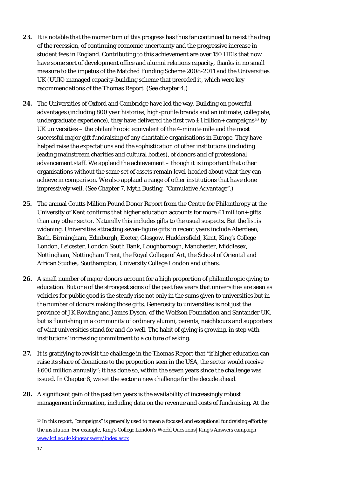- **23.** It is notable that the momentum of this progress has thus far continued to resist the drag of the recession, of continuing economic uncertainty and the progressive increase in student fees in England. Contributing to this achievement are over 150 HEIs that now have some sort of development office and alumni relations capacity, thanks in no small measure to the impetus of the Matched Funding Scheme 2008-2011 and the Universities UK (UUK) managed capacity-building scheme that preceded it, which were key recommendations of the Thomas Report. (See chapter 4.)
- **24.** The Universities of Oxford and Cambridge have led the way. Building on powerful advantages (including 800 year histories, high-profile brands and an intimate, collegiate, undergraduate experience), they have delivered the first two £1 billion+ campaigns<sup>[10](#page-17-0)</sup> by UK universities – the philanthropic equivalent of the 4-minute mile and the most successful major gift fundraising of any charitable organisations in Europe. They have helped raise the expectations and the sophistication of other institutions (including leading mainstream charities and cultural bodies), of donors and of professional advancement staff. We applaud the achievement – though it is important that other organisations without the same set of assets remain level-headed about what they can achieve in comparison. We also applaud a range of other institutions that have done impressively well. (See Chapter 7, Myth Busting, "Cumulative Advantage".)
- **25.** The annual Coutts Million Pound Donor Report from the Centre for Philanthropy at the University of Kent confirms that higher education accounts for more £1 million+ gifts than any other sector. Naturally this includes gifts to the usual suspects. But the list is widening. Universities attracting seven-figure gifts in recent years include Aberdeen, Bath, Birmingham, Edinburgh, Exeter, Glasgow, Huddersfield, Kent, King's College London, Leicester, London South Bank, Loughborough, Manchester, Middlesex, Nottingham, Nottingham Trent, the Royal College of Art, the School of Oriental and African Studies, Southampton, University College London and others.
- **26.** A small number of major donors account for a high proportion of philanthropic giving to education. But one of the strongest signs of the past few years that universities are seen as vehicles for public good is the steady rise not only in the sums given to universities but in the number of donors making those gifts. Generosity to universities is not just the province of JK Rowling and James Dyson, of the Wolfson Foundation and Santander UK, but is flourishing in a community of ordinary alumni, parents, neighbours and supporters of what universities stand for and do well. The habit of giving is growing, in step with institutions' increasing commitment to a culture of asking.
- **27.** It is gratifying to revisit the challenge in the Thomas Report that "if higher education can raise its share of donations to the proportion seen in the USA, the sector would receive £600 million annually"; it has done so, within the seven years since the challenge was issued. In Chapter 8, we set the sector a new challenge for the decade ahead.
- <span id="page-17-0"></span>**28.** A significant gain of the past ten years is the availability of increasingly robust management information, including data on the revenue and costs of fundraising. At the

 $\ddot{ }$ 

<sup>10</sup> In this report, "campaigns" is generally used to mean a focused and exceptional fundraising effort by the institution. For example, King's College London's World Questions| King's Answers campaign [www.kcl.ac.uk/kingsanswers/index.aspx](http://www.kcl.ac.uk/kingsanswers/index.aspx)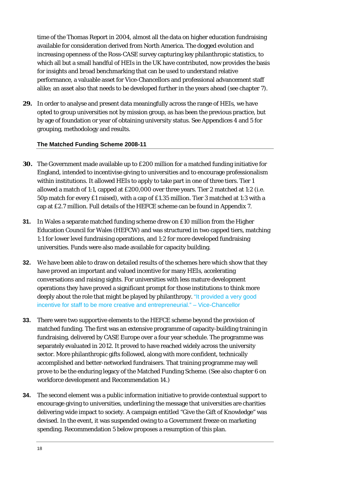time of the Thomas Report in 2004, almost all the data on higher education fundraising available for consideration derived from North America. The dogged evolution and increasing openness of the Ross-CASE survey capturing key philanthropic statistics, to which all but a small handful of HEIs in the UK have contributed, now provides the basis for insights and broad benchmarking that can be used to understand relative performance, a valuable asset for Vice-Chancellors and professional advancement staff alike; an asset also that needs to be developed further in the years ahead (see chapter 7).

**29.** In order to analyse and present data meaningfully across the range of HEIs, we have opted to group universities not by mission group, as has been the previous practice, but by age of foundation or year of obtaining university status. See Appendices 4 and 5 for grouping, methodology and results.

### **The Matched Funding Scheme 2008-11**

- **30.** The Government made available up to £200 million for a matched funding initiative for England, intended to incentivise giving to universities and to encourage professionalism within institutions. It allowed HEIs to apply to take part in one of three tiers. Tier 1 allowed a match of 1:1, capped at £200,000 over three years. Tier 2 matched at 1:2 (i.e. 50p match for every £1 raised), with a cap of £1.35 million. Tier 3 matched at 1:3 with a cap at £2.7 million. Full details of the HEFCE scheme can be found in Appendix 7.
- **31.** In Wales a separate matched funding scheme drew on £10 million from the Higher Education Council for Wales (HEFCW) and was structured in two capped tiers, matching 1:1 for lower level fundraising operations, and 1:2 for more developed fundraising universities. Funds were also made available for capacity building.
- **32.** We have been able to draw on detailed results of the schemes here which show that they have proved an important and valued incentive for many HEIs, accelerating conversations and raising sights. For universities with less mature development operations they have proved a significant prompt for those institutions to think more deeply about the role that might be played by philanthropy. "It provided a very good incentive for staff to be more creative and entrepreneurial." – Vice-Chancellor
- **33.** There were two supportive elements to the HEFCE scheme beyond the provision of matched funding. The first was an extensive programme of capacity-building training in fundraising, delivered by CASE Europe over a four year schedule. The programme was separately evaluated in 2012. It proved to have reached widely across the university sector. More philanthropic gifts followed, along with more confident, technically accomplished and better-networked fundraisers. That training programme may well prove to be the enduring legacy of the Matched Funding Scheme. (See also chapter 6 on workforce development and Recommendation 14.)
- **34.** The second element was a public information initiative to provide contextual support to encourage giving to universities, underlining the message that universities are charities delivering wide impact to society. A campaign entitled "Give the Gift of Knowledge" was devised. In the event, it was suspended owing to a Government freeze on marketing spending. Recommendation 5 below proposes a resumption of this plan.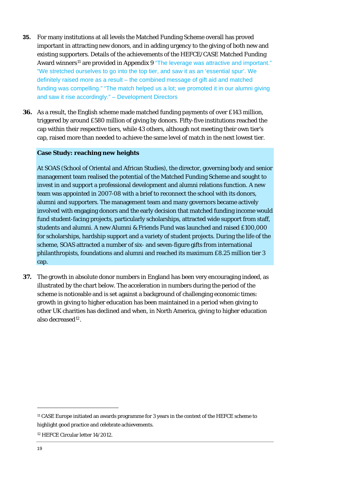- **35.** For many institutions at all levels the Matched Funding Scheme overall has proved important in attracting new donors, and in adding urgency to the giving of both new and existing supporters. Details of the achievements of the HEFCE/CASE Matched Funding Award winners<sup>[11](#page-19-0)</sup> are provided in Appendix 9 "The leverage was attractive and important." "We stretched ourselves to go into the top tier, and saw it as an 'essential spur'. We definitely raised more as a result – the combined message of gift aid and matched funding was compelling." "The match helped us a lot; we promoted it in our alumni giving and saw it rise accordingly." – Development Directors
- **36.** As a result, the English scheme made matched funding payments of over £143 million, triggered by around £580 million of giving by donors. Fifty-five institutions reached the cap within their respective tiers, while 43 others, although not meeting their own tier's cap, raised more than needed to achieve the same level of match in the next lowest tier.

### **Case Study: reaching new heights**

At SOAS (School of Oriental and African Studies), the director, governing body and senior management team realised the potential of the Matched Funding Scheme and sought to invest in and support a professional development and alumni relations function. A new team was appointed in 2007-08 with a brief to reconnect the school with its donors, alumni and supporters. The management team and many governors became actively involved with engaging donors and the early decision that matched funding income would fund student-facing projects, particularly scholarships, attracted wide support from staff, students and alumni. A new Alumni & Friends Fund was launched and raised £100,000 for scholarships, hardship support and a variety of student projects. During the life of the scheme, SOAS attracted a number of six- and seven-figure gifts from international philanthropists, foundations and alumni and reached its maximum £8.25 million tier 3 cap.

**37.** The growth in absolute donor numbers in England has been very encouraging indeed, as illustrated by the chart below. The acceleration in numbers during the period of the scheme is noticeable and is set against a background of challenging economic times: growth in giving to higher education has been maintained in a period when giving to other UK charities has declined and when, in North America, giving to higher education also decreased<sup>[12](#page-19-1)</sup>.

<span id="page-19-0"></span><sup>11</sup> CASE Europe initiated an awards programme for 3 years in the context of the HEFCE scheme to highlight good practice and celebrate achievements.

<span id="page-19-1"></span><sup>12</sup> HEFCE Circular letter 14/2012.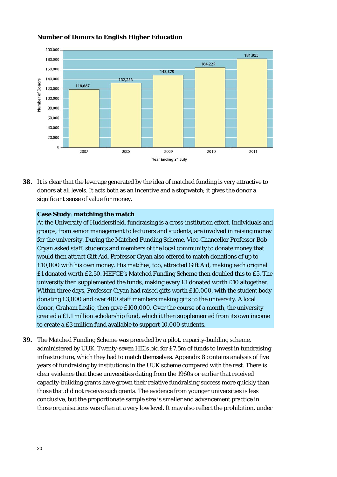

### **Number of Donors to English Higher Education**

**38.** It is clear that the leverage generated by the idea of matched funding is very attractive to donors at all levels. It acts both as an incentive and a stopwatch; it gives the donor a significant sense of value for money.

### **Case Study**: **matching the match**

At the University of Huddersfield, fundraising is a cross-institution effort. Individuals and groups, from senior management to lecturers and students, are involved in raising money for the university. During the Matched Funding Scheme, Vice-Chancellor Professor Bob Cryan asked staff, students and members of the local community to donate money that would then attract Gift Aid. Professor Cryan also offered to match donations of up to £10,000 with his own money. His matches, too, attracted Gift Aid, making each original £1 donated worth £2.50. HEFCE's Matched Funding Scheme then doubled this to £5. The university then supplemented the funds, making every £1 donated worth £10 altogether. Within three days, Professor Cryan had raised gifts worth £10,000, with the student body donating £3,000 and over 400 staff members making gifts to the university. A local donor, Graham Leslie, then gave £100,000. Over the course of a month, the university created a £1.1 million scholarship fund, which it then supplemented from its own income to create a £3 million fund available to support 10,000 students.

**39.** The Matched Funding Scheme was preceded by a pilot, capacity-building scheme, administered by UUK. Twenty-seven HEIs bid for £7.5m of funds to invest in fundraising infrastructure, which they had to match themselves. Appendix 8 contains analysis of five those organisations was often at a very low level. It may also reflect the prohibition, under years of fundraising by institutions in the UUK scheme compared with the rest. There is clear evidence that those universities dating from the 1960s or earlier that received capacity-building grants have grown their relative fundraising success more quickly than those that did not receive such grants. The evidence from younger universities is less conclusive, but the proportionate sample size is smaller and advancement practice in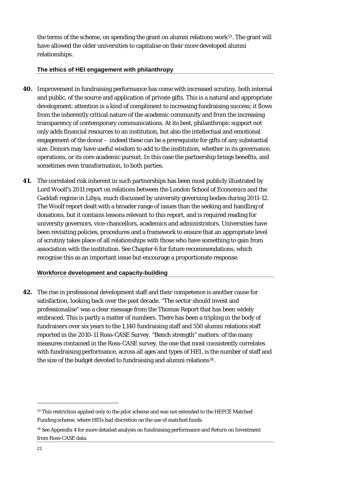the terms of the scheme, on spending the grant on alumni relations work $13$ . The grant will have allowed the older universities to capitalise on their more developed alumni relationships.

### **The ethics of HEI engagement with philanthropy**

- **40.** Improvement in fundraising performance has come with increased scrutiny, both internal and public, of the source and application of private gifts. This is a natural and appropriate development: attention is a kind of compliment to increasing fundraising success; it flows from the inherently critical nature of the academic community and from the increasing transparency of contemporary communications. At its best, philanthropic support not only adds financial resources to an institution, but also the intellectual and emotional engagement of the donor – indeed these can be a prerequisite for gifts of any substantial size. Donors may have useful wisdom to add to the institution, whether in its governance, operations, or its core academic pursuit. In this case the partnership brings benefits, and sometimes even transformation, to both parties.
- **41.** The correlated risk inherent in such partnerships has been most publicly illustrated by Lord Woolf's 2011 report on relations between the London School of Economics and the Gaddafi regime in Libya, much discussed by university governing bodies during 2011-12. The Woolf report dealt with a broader range of issues than the seeking and handling of donations, but it contains lessons relevant to this report, and is required reading for university governors, vice-chancellors, academics and administrators. Universities have been revisiting policies, procedures and a framework to ensure that an appropriate level of scrutiny takes place of all relationships with those who have something to gain from association with the institution. See Chapter 6 for future recommendations, which recognise this as an important issue but encourage a proportionate response.

### **Workforce development and capacity-building**

**42.** The rise in professional development staff and their competence is another cause for satisfaction, looking back over the past decade. "The sector should invest and professionalise" was a clear message from the Thomas Report that has been widely embraced. This is partly a matter of numbers. There has been a tripling in the body of fundraisers over six years to the 1,140 fundraising staff and 550 alumni relations staff reported in the 2010-11 Ross-CASE Survey. "Bench strength" matters: of the many measures contained in the Ross-CASE survey, the one that most consistently correlates with fundraising performance, across all ages and types of HEI, is the number of staff and the size of the budget devoted to fundraising and alumni relations<sup>[14](#page-21-0)</sup>.

<sup>&</sup>lt;sup>13</sup> This restriction applied only to the pilot scheme and was not extended to the HEFCE Matched Funding scheme, where HEIs had discretion on the use of matched funds.

<span id="page-21-0"></span><sup>14</sup> See Appendix 4 for more detailed analysis on fundraising performance and Return on Investment from Ross-CASE data.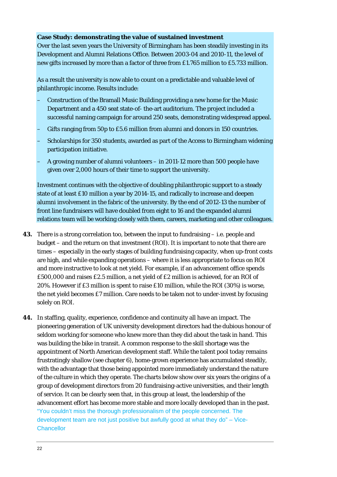### **Case Study: demonstrating the value of sustained investment**

Over the last seven years the University of Birmingham has been steadily investing in its Development and Alumni Relations Office. Between 2003-04 and 2010-11, the level of new gifts increased by more than a factor of three from £1.765 million to £5.733 million.

As a result the university is now able to count on a predictable and valuable level of philanthropic income. Results include:

- Construction of the Bramall Music Building providing a new home for the Music Department and a 450 seat state-of- the-art auditorium. The project included a successful naming campaign for around 250 seats, demonstrating widespread appeal.
- Gifts ranging from 50p to £5.6 million from alumni and donors in 150 countries.
- Scholarships for 350 students, awarded as part of the Access to Birmingham widening participation initiative.
- A growing number of alumni volunteers in 2011-12 more than 500 people have given over 2,000 hours of their time to support the university.

Investment continues with the objective of doubling philanthropic support to a steady state of at least £10 million a year by 2014-15, and radically to increase and deepen alumni involvement in the fabric of the university. By the end of 2012-13 the number of front line fundraisers will have doubled from eight to 16 and the expanded alumni relations team will be working closely with them, careers, marketing and other colleagues.

- **43.** There is a strong correlation too, between the input to fundraising i.e. people and budget – and the return on that investment (ROI). It is important to note that there are times – especially in the early stages of building fundraising capacity, when up-front costs are high, and while expanding operations – where it is less appropriate to focus on ROI and more instructive to look at net yield. For example, if an advancement office spends £500,000 and raises £2.5 million, a net yield of £2 million is achieved, for an ROI of 20%. However if £3 million is spent to raise £10 million, while the ROI (30%) is worse, the net yield becomes £7 million. Care needs to be taken not to under-invest by focusing solely on ROI.
- **44.** In staffing, quality, experience, confidence and continuity all have an impact. The pioneering generation of UK university development directors had the dubious honour of seldom working for someone who knew more than they did about the task in hand. This was building the bike in transit. A common response to the skill shortage was the appointment of North American development staff. While the talent pool today remains frustratingly shallow (see chapter 6), home-grown experience has accumulated steadily, with the advantage that those being appointed more immediately understand the nature of the culture in which they operate. The charts below show over six years the origins of a group of development directors from 20 fundraising-active universities, and their length of service. It can be clearly seen that, in this group at least, the leadership of the advancement effort has become more stable and more locally developed than in the past. "You couldn't miss the thorough professionalism of the people concerned. The development team are not just positive but awfully good at what they do" – Vice-**Chancellor**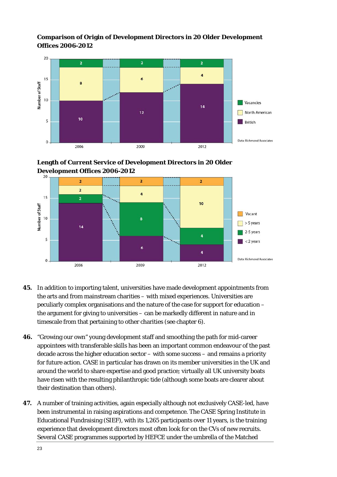### **Comparison of Origin of Development Directors in 20 Older Development Offices 2006-2012**



**Length of Current Service of Development Directors in 20 Older evelopment Offices 2006-2012 D**



- **45.** In addition to importing talent, universities have made development appointments from the arts and from mainstream charities – with mixed experiences. Universities are peculiarly complex organisations and the nature of the case for support for education – the argument for giving to universities – can be markedly different in nature and in timescale from that pertaining to other charities (see chapter 6).
- appointees with transferable skills has been an important common endeavour of the past decade across the higher education sector – with some success – and remains a priority for future action. CASE in particular has drawn on its member universities in the UK and **46.** "Growing our own" young development staff and smoothing the path for mid-career around the world to share expertise and good practice; virtually all UK university boats have risen with the resulting philanthropic tide (although some boats are clearer about their destination than others).
- been instrumental in raising aspirations and competence. The CASE Spring Institute in Educational Fundraising (SIEF), with its 1,265 participants over 11 years, is the training **47.** A number of training activities, again especially although not exclusively CASE-led, have experience that development directors most often look for on the CVs of new recruits. Several CASE programmes supported by HEFCE under the umbrella of the Matched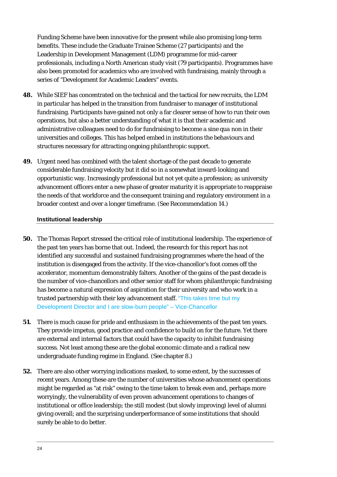Funding Scheme have been innovative for the present while also promising long-term benefits. These include the Graduate Trainee Scheme (27 participants) and the Leadership in Development Management (LDM) programme for mid-career professionals, including a North American study visit (79 participants). Programmes ha ve also been promoted for academics who are involved with fundraising, mainly th rough a series of "Development for Academic Leaders" events.

- **48.** While SIEF has concentrated on the technical and the tactical for new recruits, the LDM in particular has helped in the transition from fundrais er to manager of institutional fundraising. Participants have gained not only a far clearer sense of how to run their own operations, but also a better understanding of what it is that their academic and administrative colleagues need to do for fundraising to become a *sine qua non* in their universities and colleges. This has helped embed in institutions the behaviours and structures necessary for attracting ongoing philanthropic support.
- considerable fundraising velocity but it did so in a somewhat inward-looking and opportunistic way. Increasingly professional but not yet quite a profession; as university advancement officers enter a new phase of greater maturity it is appropriate to reappraise the needs of that workforce and the consequent training and regulatory environment in a **49.** Urgent need has combined with the talent shortage of the past decade to generate broader context and over a longer timeframe. (See Recommendation 14.)

### **Institutional leadership**

- **50.** The Thomas Report stressed the critical role of institutional leadership. The experience of the past ten years has borne that out. Indeed, the research for this report has not identified any successful and sustained fundraising programmes where the head of the accelerator, momentum demonstrably falters. Another of the gains of the past decade is the number of vice-chancellors and other senior staff for whom philanthropic fundraising institution is disengaged from the activity. If the vice-chancellor's foot comes off the has become a natural expression of aspiration for their university and who work in a trusted partnership with their key advancement staff. "This takes time but my Development Director and I are slow-burn people" – Vice-Chancellor
- **51.** There is much cause for pride and enthusiasm in the achievements of the past ten years. They provide impetus, good practice and confidence to build on for the future. Yet there are external and internal factors that could have the capacity to inhibit fundraising success. Not least among these are the global economic climate and a radical new undergraduate funding regime in England. (See chapter 8.)
- **52.** There are also other worrying indications masked, to some extent, by the successes of recent years. Among these are the number of universities whose advancement operations might be regarded as "at risk" owing to the time taken to break even and, perhaps more worryingly, the vulnerability of even proven advancement operations to changes of institutional or office leadership; the still modest (but slowly improving) level of alumni giving overall; and the surprising underperformance of some institutions that should surely be able to do better.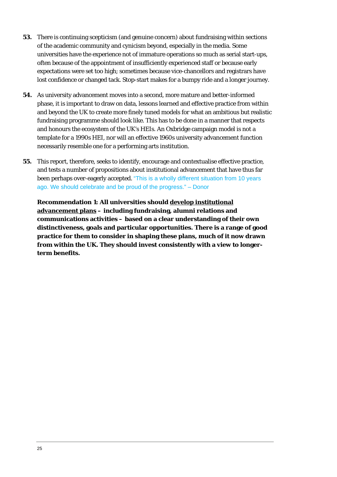- **53.** There is continuing scepticism (and genuine concern) about fundraising within sections of the academic community and cynicism beyond, especially in the media. Some universities have the experience not of immature operations so much as serial start-ups, expectations were set too high; sometimes because vice-chancellors and registrars have often because of the appointment of insufficiently experienced staff or because early lost confidence or changed tack. Stop-start makes for a bumpy ride and a longer journey.
- and beyond the UK to create more finely tuned models for what an ambitious but realistic fundraising programme should look like. This has to be done in a manner that respects **54.** As university advancement moves into a second, more mature and better-informed phase, it is important to draw on data, lessons learned and effective practice from within and honours the ecosystem of the UK's HEIs. An Oxbridge campaign model is not a template for a 1990s HEI, nor will an effective 1960s university advancement function necessarily resemble one for a performing arts institution.
- **55.** This report, therefore, seeks to identify, encourage and contextualise effective practice, and tests a number of propositions about institutional advancement that have thus far been perhaps over-eagerly accepted. "This is a wholly different situation from 10 years ago. We should celebrate and be proud of the progress." – Donor

**Recommendation 1: All universities should develop institutional advancement plans – including fundraising, alumni relations and communications activities – based on a clear understanding of their own ge of good distinctiveness, goals and particular opportunities. There is a ran drawn practice for them to consider in shaping these plans, much of it now from within the UK. They should invest consistently with a view to longerterm benefits.**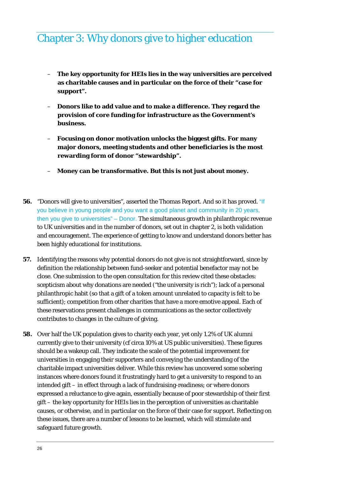### Chapter 3: Why donors give to higher education

- **The key opportunity for HEIs lies in the way universities are perceived as charitable causes and in particular on the force of their "case for support".**
- **Donors like to add value and to make a difference. They regard the provision of core funding for infrastructure as the Government's business.**
- **Focusing on donor motivation unlocks the biggest gifts. For many major donors, meeting students and other beneficiaries is the most rewarding form of donor "stewardship".**
- **Money can be transformative. But this is not just about money.**
- **56.** "Donors will give to universities", asserted the Thomas Report. And so it has proved. "If you believe in young people and you want a good planet and community in 20 years, then you give to universities" – Donor. The simultaneous growth in philanthropic revenue to UK universities and in the number of donors, set out in chapter 2, is both validation and encouragement. The experience of getting to know and understand donors better has been highly educational for institutions.
- **57.** Identifying the reasons why potential donors do not give is not straightforward, since by definition the relationship between fund-seeker and potential benefactor may not be close. One submission to the open consultation for this review cited these obstacles: scepticism about why donations are needed ("the university is rich"); lack of a personal philanthropic habit (so that a gift of a token amount unrelated to capacity is felt to be sufficient); competition from other charities that have a more emotive appeal. Each of these reservations present challenges in communications as the sector collectively contributes to changes in the culture of giving.
- **58.** Over half the UK population gives to charity each year, yet only 1.2% of UK alumni currently give to their university (cf circa 10% at US public universities). These figures should be a wakeup call. They indicate the scale of the potential improvement for universities in engaging their supporters and conveying the understanding of the charitable impact universities deliver. While this review has uncovered some sobering instances where donors found it frustratingly hard to get a university to respond to an intended gift – in effect through a lack of fundraising-readiness; or where donors expressed a reluctance to give again, essentially because of poor stewardship of their first gift – the key opportunity for HEIs lies in the perception of universities as charitable causes, or otherwise, and in particular on the force of their case for support. Reflecting on these issues, there are a number of lessons to be learned, which will stimulate and safeguard future growth.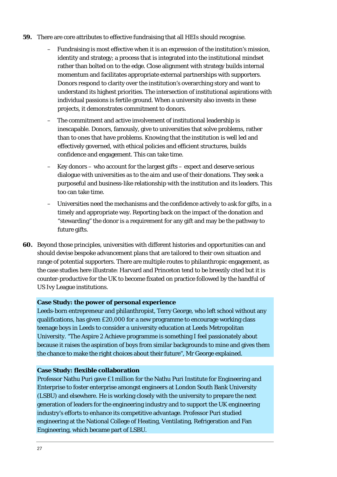- **59.** There are core attributes to effective fundraising that all HEIs should recognise.
	- Fundraising is most effective when it is an expression of the institution's mission, identity and strategy; a process that is integrated into the institutional mindset rather than bolted on to the edge. Close alignment with strategy builds internal momentum and facilitates appropriate external partnerships with supporters. Donors respond to clarity over the institution's overarching story and want to understand its highest priorities. The intersection of institutional aspirations with individual passions is fertile ground. When a university also invests in these projects, it demonstrates commitment to donors.
	- The commitment and active involvement of institutional leadership is inescapable. Donors, famously, give to universities that solve problems, rather than to ones that have problems. Knowing that the institution is well led and effectively governed, with ethical policies and efficient structures, builds confidence and engagement. This can take time.
	- Key donors who account for the largest gifts expect and deserve serious dialogue with universities as to the aim and use of their donations. They seek a purposeful and business-like relationship with the institution and its leaders. This too can take time.
	- Universities need the mechanisms and the confidence actively to *ask* for gifts, in a timely and appropriate way. Reporting back on the impact of the donation and "stewarding" the donor is a requirement for any gift and may be the pathway to future gifts.
- **60.** Beyond those principles, universities with different histories and opportunities can and should devise bespoke advancement plans that are tailored to their own situation and range of potential supporters. There are multiple routes to philanthropic engagement, as the case studies here illustrate: Harvard and Princeton tend to be breezily cited but it is counter-productive for the UK to become fixated on practice followed by the handful of US Ivy League institutions.

### **Case Study: the power of personal experience**

Leeds-born entrepreneur and philanthropist, Terry George, who left school without any qualifications, has given £20,000 for a new programme to encourage working class teenage boys in Leeds to consider a university education at Leeds Metropolitan University. "The Aspire 2 Achieve programme is something I feel passionately about because it raises the aspiration of boys from similar backgrounds to mine and gives them the chance to make the right choices about their future", Mr George explained.

### **Case Study: flexible collaboration**

Professor Nathu Puri gave £1 million for the Nathu Puri Institute for Engineering and Enterprise to foster enterprise amongst engineers at London South Bank University (LSBU) and elsewhere. He is working closely with the university to prepare the next generation of leaders for the engineering industry and to support the UK engineering industry's efforts to enhance its competitive advantage. Professor Puri studied engineering at the National College of Heating, Ventilating, Refrigeration and Fan Engineering, which became part of LSBU.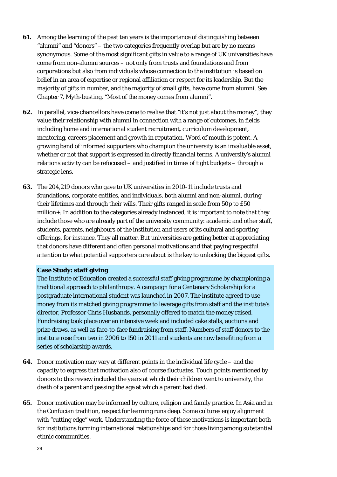- **61.** Among the learning of the past ten years is the importance of distinguishing between "alumni" and "donors" – the two categories frequently overlap but are by no means synonymous. Some of the most significant gifts in value to a range of UK universities have come from non-alumni sources – not only from trusts and foundations and from corporations but also from individuals whose connection to the institution is based on belief in an area of expertise or regional affiliation or respect for its leadership. But the majority of gifts in number, and the majority of small gifts, have come from alumni. See Chapter 7, Myth-busting, "Most of the money comes from alumni".
- **62.** In parallel, vice-chancellors have come to realise that "it's not just about the money"; they value their relationship with alumni in connection with a range of outcomes, in fields including home and international student recruitment, curriculum development, mentoring, careers placement and growth in reputation. Word of mouth is potent. A growing band of informed supporters who champion the university is an invaluable asset, whether or not that support is expressed in directly financial terms. A university's alumni relations activity can be refocused – and justified in times of tight budgets – through a strategic lens.
- **63.** The 204,219 donors who gave to UK universities in 2010-11 include trusts and foundations, corporate entities, and individuals, both alumni and non-alumni, during their lifetimes and through their wills. Their gifts ranged in scale from 50p to £50 million+. In addition to the categories already instanced, it is important to note that they include those who are already part of the university community: academic and other staff, students, parents, neighbours of the institution and users of its cultural and sporting offerings, for instance. They all matter. But universities are getting better at appreciating that donors have different and often personal motivations and that paying respectful attention to what potential supporters care about is the key to unlocking the biggest gifts.

### **Case Study: staff giving**

The Institute of Education created a successful staff giving programme by championing a traditional approach to philanthropy. A campaign for a Centenary Scholarship for a postgraduate international student was launched in 2007. The institute agreed to use money from its matched giving programme to leverage gifts from staff and the institute's director, Professor Chris Husbands, personally offered to match the money raised. Fundraising took place over an intensive week and included cake stalls, auctions and prize draws, as well as face-to-face fundraising from staff. Numbers of staff donors to the institute rose from two in 2006 to 150 in 2011 and students are now benefiting from a series of scholarship awards.

- **64.** Donor motivation may vary at different points in the individual life cycle and the capacity to express that motivation also of course fluctuates. Touch points mentioned by donors to this review included the years at which their children went to university, the death of a parent and passing the age at which a parent had died.
- **65.** Donor motivation may be informed by culture, religion and family practice. In Asia and in the Confucian tradition, respect for learning runs deep. Some cultures enjoy alignment with "cutting edge" work. Understanding the force of these motivations is important both for institutions forming international relationships and for those living among substantial ethnic communities.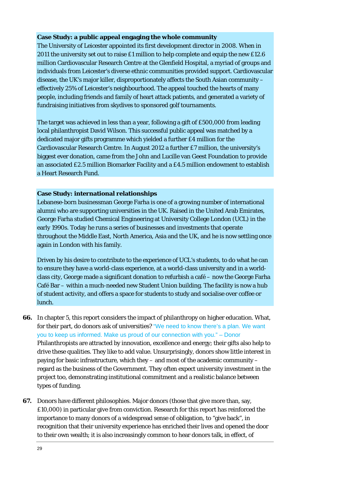### **Case Study: a public appeal engaging the whole community**

The University of Leicester appointed its first development director in 2008. When in 2011 the university set out to raise £1 million to help complete and equip the new £12.6 million Cardiovascular Research Centre at the Glenfield Hospital, a myriad of groups and individuals from Leicester's diverse ethnic communities provided support. Cardiovascular disease, the UK's major killer, disproportionately affects the South Asian community – effectively 25% of Leicester's neighbourhood. The appeal touched the hearts of many people, including friends and family of heart attack patients, and generated a variety of fundraising initiatives from skydives to sponsored golf tournaments.

The target was achieved in less than a year, following a gift of £500,000 from leading local philanthropist David Wilson. This successful public appeal was matched by a dedicated major gifts programme which yielded a further £4 million for the Cardiovascular Research Centre. In August 2012 a further £7 million, the university's biggest ever donation, came from the John and Lucille van Geest Foundation to provide an associated £2.5 million Biomarker Facility and a £4.5 million endowment to establish a Heart Research Fund.

### **Case Study: international relationships**

Lebanese-born businessman George Farha is one of a growing number of international alumni who are supporting universities in the UK. Raised in the United Arab Emirates, George Farha studied Chemical Engineering at University College London (UCL) in the early 1990s. Today he runs a series of businesses and investments that operate throughout the Middle East, North America, Asia and the UK, and he is now settling once again in London with his family.

Driven by his desire to contribute to the experience of UCL's students, to do what he can to ensure they have a world-class experience, at a world-class university and in a worldclass city, George made a significant donation to refurbish a café – now the George Farha Café Bar – within a much-needed new Student Union building. The facility is now a hub of student activity, and offers a space for students to study and socialise over coffee or lunch.

- **66.** In chapter 5, this report considers the impact of philanthropy on higher education. What, for their part, do donors ask of universities? "We need to know there's a plan. We want you to keep us informed. Make us proud of our connection with you." – Donor Philanthropists are attracted by innovation, excellence and energy; their gifts also help to drive these qualities. They like to add value. Unsurprisingly, donors show little interest in paying for basic infrastructure, which they – and most of the academic community – regard as the business of the Government. They often expect university investment in the project too, demonstrating institutional commitment and a realistic balance between types of funding.
- **67.** Donors have different philosophies. Major donors (those that give more than, say, £10,000) in particular give from conviction. Research for this report has reinforced the importance to many donors of a widespread sense of obligation, to "give back", in recognition that their university experience has enriched their lives and opened the door to their own wealth; it is also increasingly common to hear donors talk, in effect, of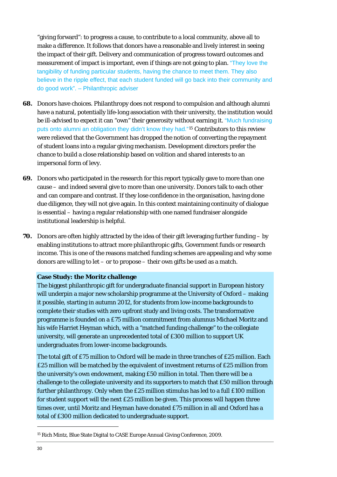"giving forward": to progress a cause, to contribute to a local community, above all to make a difference. It follows that donors have a reasonable and lively interest in seeing the impact of their gift. Delivery and communication of progress toward outcomes and measurement of impact is important, even if things are not going to plan. "They love the tangibility of funding particular students, having the chance to meet them. They also believe in the ripple effect, that each student funded will go back into their community and do good work". – Philanthropic adviser

- **68.** Donors have choices. Philanthropy does not respond to compulsion and although alumni have a natural, potentially life-long association with their university, the institution would be ill-advised to expect it can "own" their generosity without earning it. "Much fundraising puts onto alumni an obligation they didn't know they had."[15](#page-30-0) Contributors to this review were relieved that the Government has dropped the notion of converting the repayment of student loans into a regular giving mechanism. Development directors prefer the chance to build a close relationship based on volition and shared interests to an impersonal form of levy.
- **69.** Donors who participated in the research for this report typically gave to more than one cause – and indeed several give to more than one university. Donors talk to each other and can compare and contrast. If they lose confidence in the organisation, having done due diligence, they will not give again. In this context maintaining continuity of dialogue is essential – having a regular relationship with one named fundraiser alongside institutional leadership is helpful.
- **70.** Donors are often highly attracted by the idea of their gift leveraging further funding by enabling institutions to attract more philanthropic gifts, Government funds or research income. This is one of the reasons matched funding schemes are appealing and why some donors are willing to let – or to propose – their own gifts be used as a match.

### **Case Study: the Moritz challenge**

The biggest philanthropic gift for undergraduate financial support in European history will underpin a major new scholarship programme at the University of Oxford – making it possible, starting in autumn 2012, for students from low-income backgrounds to complete their studies with zero upfront study and living costs. The transformative programme is founded on a £75 million commitment from alumnus Michael Moritz and his wife Harriet Heyman which, with a "matched funding challenge" to the collegiate university, will generate an unprecedented total of £300 million to support UK undergraduates from lower-income backgrounds.

The total gift of £75 million to Oxford will be made in three tranches of £25 million. Each £25 million will be matched by the equivalent of investment returns of £25 million from the university's own endowment, making £50 million in total. Then there will be a challenge to the collegiate university and its supporters to match that £50 million through further philanthropy. Only when the £25 million stimulus has led to a full £100 million for student support will the next £25 million be given. This process will happen three times over, until Moritz and Heyman have donated £75 million in all and Oxford has a total of £300 million dedicated to undergraduate support.

<span id="page-30-0"></span><sup>15</sup> Rich Mintz, Blue State Digital to CASE Europe Annual Giving Conference, 2009.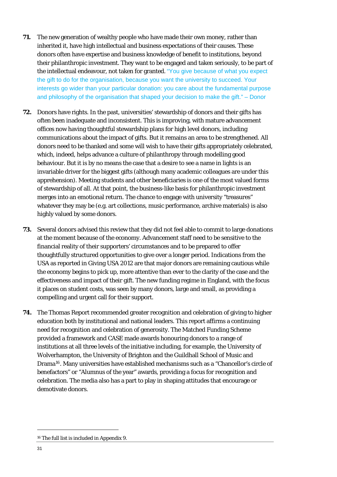- **71.** The new generation of wealthy people who have made their own money, rather than inherited it, have high intellectual and business expectations of their causes. These donors often have expertise and business knowledge of benefit to institutions, beyond their philanthropic investment. They want to be engaged and taken seriously, to be part of the intellectual endeavour, not taken for granted. "You give because of what you expect the gift to do for the organisation, because you want the university to succeed. Your interests go wider than your particular donation: you care about the fundamental purpose and philosophy of the organisation that shaped your decision to make the gift." – Donor
- **72.** Donors have rights. In the past, universities' stewardship of donors and their gifts has often been inadequate and inconsistent. This is improving, with mature advancement offices now having thoughtful stewardship plans for high level donors, including communications about the impact of gifts. But it remains an area to be strengthened. All donors need to be thanked and some will wish to have their gifts appropriately celebrated, which, indeed, helps advance a culture of philanthropy through modelling good behaviour. But it is by no means the case that a desire to see a name in lights is an invariable driver for the biggest gifts (although many academic colleagues are under this apprehension). Meeting students and other beneficiaries is one of the most valued forms of stewardship of all. At that point, the business-like basis for philanthropic investment merges into an emotional return. The chance to engage with university "treasures" whatever they may be (e.g. art collections, music performance, archive materials) is also highly valued by some donors.
- **73.** Several donors advised this review that they did not feel able to commit to large donations at the moment because of the economy. Advancement staff need to be sensitive to the financial reality of their supporters' circumstances and to be prepared to offer thoughtfully structured opportunities to give over a longer period. Indications from the USA as reported in Giving USA 2012 are that major donors are remaining cautious while the economy begins to pick up, more attentive than ever to the clarity of the case and the effectiveness and impact of their gift. The new funding regime in England, with the focus it places on student costs, was seen by many donors, large and small, as providing a compelling and urgent call for their support.
- **74.** The Thomas Report recommended greater recognition and celebration of giving to higher education both by institutional and national leaders. This report affirms a continuing need for recognition and celebration of generosity. The Matched Funding Scheme provided a framework and CASE made awards honouring donors to a range of institutions at all three levels of the initiative including, for example, the University of Wolverhampton, the University of Brighton and the Guildhall School of Music and Drama[16](#page-31-0). Many universities have established mechanisms such as a "Chancellor's circle of benefactors" or "Alumnus of the year" awards, providing a focus for recognition and celebration. The media also has a part to play in shaping attitudes that encourage or demotivate donors.

<span id="page-31-0"></span><sup>16</sup> The full list is included in Appendix 9.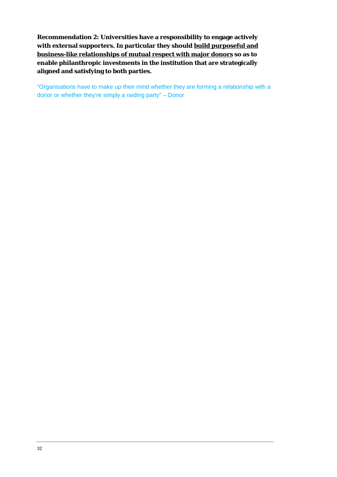**Recommendation 2: Universities have a responsibility to engage actively with external supporters. In particular they should build purposeful and business-like relationships of mutual respect with major donors so as to enable philanthropic investments in the institution that are strategically aligned and satisfying to both parties.** 

"Organisations have to make up their mind whether they are forming a relationship with a donor or whether they're simply a raiding party" – Donor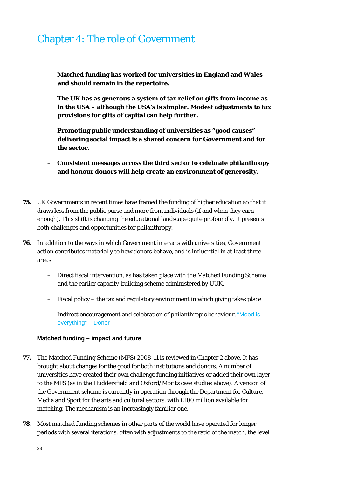### Chapter 4: The role of Government

- **Matched funding has worked for universities in England and Wales and should remain in the repertoire.**
- **The UK has as generous a system of tax relief on gifts from income as in the USA – although the USA's is simpler. Modest adjustments to tax provisions for gifts of capital can help further.**
- **Promoting public understanding of universities as "good causes" delivering social impact is a shared concern for Government and for the sector.**
- **Consistent messages across the third sector to celebrate philanthropy and honour donors will help create an environment of generosity.**
- **75.** UK Governments in recent times have framed the funding of higher education so that it draws less from the public purse and more from individuals (if and when they earn enough). This shift is changing the educational landscape quite profoundly. It presents both challenges and opportunities for philanthropy.
- **76.** In addition to the ways in which Government interacts with universities, Government action contributes materially to how donors behave, and is influential in at least three areas:
	- Direct fiscal intervention, as has taken place with the Matched Funding Scheme and the earlier capacity-building scheme administered by UUK.
	- Fiscal policy the tax and regulatory environment in which giving takes place.
	- Indirect encouragement and celebration of philanthropic behaviour. "Mood is everything" – Donor

### **Matched funding – impact and future**

- **77.** The Matched Funding Scheme (MFS) 2008-11 is reviewed in Chapter 2 above. It has brought about changes for the good for both institutions and donors. A number of universities have created their own challenge funding initiatives or added their own layer to the MFS (as in the Huddersfield and Oxford/Moritz case studies above). A version of the Government scheme is currently in operation through the Department for Culture, Media and Sport for the arts and cultural sectors, with £100 million available for matching. The mechanism is an increasingly familiar one.
- **78.** Most matched funding schemes in other parts of the world have operated for longer periods with several iterations, often with adjustments to the ratio of the match, the level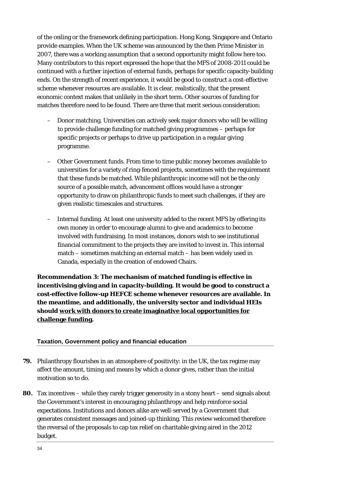of the ceiling or the framework defining participation. Hong Kong, Singapore and Ontario provide examples. When the UK scheme was announced by the then Prime Minister in 2007, there was a working assumption that a second opportunity might follow here too. Many contributors to this report expressed the hope that the MFS of 2008-2011 could be continued with a further injection of external funds, perhaps for specific capacity-building ends. On the strength of recent experience, it would be good to construct a cost-effective scheme whenever resources are available. It is clear, realistically, that the present economic context makes that unlikely in the short term. Other sources of funding for matches therefore need to be found. There are three that merit serious consideration:

- Donor matching. Universities can actively seek major donors who will be willing to provide challenge funding for matched giving programmes – perhaps for specific projects or perhaps to drive up participation in a regular giving programme.
- Other Government funds. From time to time public money becomes available to universities for a variety of ring-fenced projects, sometimes with the requirement that these funds be matched. While philanthropic income will not be the only source of a possible match, advancement offices would have a stronger opportunity to draw on philanthropic funds to meet such challenges, if they are given realistic timescales and structures.
- Internal funding. At least one university added to the recent MFS by offering its own money in order to encourage alumni to give and academics to become involved with fundraising. In most instances, donors wish to see institutional financial commitment to the projects they are invited to invest in. This internal match – sometimes matching an external match – has been widely used in Canada, especially in the creation of endowed Chairs.

**Recommendation 3: The mechanism of matched funding is effective in incentivising giving and in capacity-building. It would be good to construct a cost-effective follow-up HEFCE scheme whenever resources are available. In the meantime, and additionally, the university sector and individual HEIs should work with donors to create imaginative local opportunities for challenge funding.** 

### **Taxation, Government policy and financial education**

- **79.** Philanthropy flourishes in an atmosphere of positivity: in the UK, the tax regime may affect the amount, timing and means by which a donor gives, rather than the initial motivation so to do.
- **80.** Tax incentives while they rarely trigger generosity in a stony heart send signals about the Government's interest in encouraging philanthropy and help reinforce social expectations. Institutions and donors alike are well-served by a Government that generates consistent messages and joined-up thinking. This review welcomed therefore the reversal of the proposals to cap tax relief on charitable giving aired in the 2012 budget.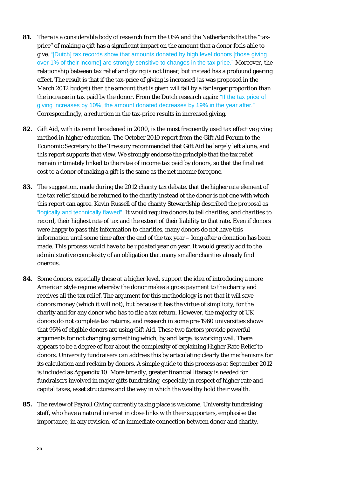- **81.** There is a considerable body of research from the USA and the Netherlands that the "taxprice" of making a gift has a significant impact on the amount that a donor feels able to give. "[Dutch] tax records show that amounts donated by high level donors [those giving over 1% of their income] are strongly sensitive to changes in the tax price." Moreover, the relationship between tax relief and giving is not linear, but instead has a profound gearing effect. The result is that if the tax-price of giving is increased (as was proposed in the March 2012 budget) then the amount that is given will fall by a far larger proportion than the increase in tax paid by the donor. From the Dutch research again: "If the tax price of giving increases by 10%, the amount donated decreases by 19% in the year after." Correspondingly, a reduction in the tax-price results in increased giving.
- **82.** Gift Aid, with its remit broadened in 2000, is the most frequently used tax effective giving method in higher education. The October 2010 report from the Gift Aid Forum to the Economic Secretary to the Treasury recommended that Gift Aid be largely left alone, and this report supports that view. We strongly endorse the principle that the tax relief remain intimately linked to the rates of income tax paid by donors, so that the final net cost to a donor of making a gift is the same as the net income foregone.
- **83.** The suggestion, made during the 2012 charity tax debate, that the higher rate element of the tax relief should be returned to the charity instead of the donor is not one with which this report can agree. Kevin Russell of the charity Stewardship described the proposal as "logically and technically flawed". It would require donors to tell charities, and charities to record, their highest rate of tax and the extent of their liability to that rate. Even if donors were happy to pass this information to charities, many donors do not have this information until some time after the end of the tax year – long after a donation has been made. This process would have to be updated year on year. It would greatly add to the administrative complexity of an obligation that many smaller charities already find onerous.
- **84.** Some donors, especially those at a higher level, support the idea of introducing a more American style regime whereby the donor makes a gross payment to the charity and receives all the tax relief. The argument for this methodology is not that it will save donors money (which it will not), but because it has the virtue of simplicity, for the charity and for any donor who has to file a tax return. However, the majority of UK donors do not complete tax returns, and research in some pre-1960 universities shows that 95% of eligible donors are using Gift Aid. These two factors provide powerful arguments for not changing something which, by and large, is working well. There appears to be a degree of fear about the complexity of explaining Higher Rate Relief to donors. University fundraisers can address this by articulating clearly the mechanisms for its calculation and reclaim by donors. A simple guide to this process as at September 2012 is included as Appendix 10. More broadly, greater financial literacy is needed for fundraisers involved in major gifts fundraising, especially in respect of higher rate and capital taxes, asset structures and the way in which the wealthy hold their wealth.
- **85.** The review of Payroll Giving currently taking place is welcome. University fundraising staff, who have a natural interest in close links with their supporters, emphasise the importance, in any revision, of an immediate connection between donor and charity.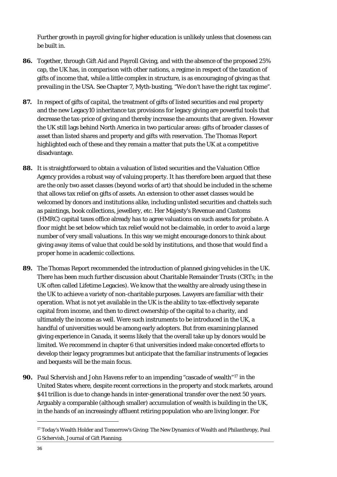Further growth in payroll giving for higher education is unlikely unless that closeness can be built in.

- **86.** Together, through Gift Aid and Payroll Giving, and with the absence of the proposed 25% cap, the UK has, in comparison with other nations, a regime in respect of the taxation of gifts of *income* that, while a little complex in structure, is as encouraging of giving as that prevailing in the USA. See Chapter 7, Myth-busting, "We don't have the right tax regime".
- **87.** In respect of gifts of *capital*, the treatment of gifts of listed securities and real property and the new Legacy10 inheritance tax provisions for legacy giving are powerful tools that decrease the tax-price of giving and thereby increase the amounts that are given. However the UK still lags behind North America in two particular areas: gifts of broader classes of asset than listed shares and property and gifts with reservation. The Thomas Report highlighted each of these and they remain a matter that puts the UK at a competitive disadvantage.
- **88.** It is straightforward to obtain a valuation of listed securities and the Valuation Office Agency provides a robust way of valuing property. It has therefore been argued that these are the only two asset classes (beyond works of art) that should be included in the scheme that allows tax relief on gifts of assets. An extension to other asset classes would be welcomed by donors and institutions alike, including unlisted securities and chattels such as paintings, book collections, jewellery, etc. Her Majesty's Revenue and Customs (HMRC) capital taxes office already has to agree valuations on such assets for probate. A floor might be set below which tax relief would not be claimable, in order to avoid a large number of very small valuations. In this way we might encourage donors to think about giving away items of value that could be sold by institutions, and those that would find a proper home in academic collections.
- **89.** The Thomas Report recommended the introduction of planned giving vehicles in the UK. There has been much further discussion about Charitable Remainder Trusts (CRTs; in the UK often called Lifetime Legacies). We know that the wealthy are already using these in the UK to achieve a variety of non-charitable purposes. Lawyers are familiar with their operation. What is not yet available in the UK is the ability to tax-effectively separate capital from income, and then to direct ownership of the capital to a charity, and ultimately the income as well. Were such instruments to be introduced in the UK, a handful of universities would be among early adopters. But from examining planned giving experience in Canada, it seems likely that the overall take up by donors would be limited. We recommend in chapter 6 that universities indeed make concerted efforts to develop their legacy programmes but anticipate that the familiar instruments of legacies and bequests will be the main focus.
- **90.** Paul Schervish and John Havens refer to an impending "cascade of wealth"[17](#page-36-0) in the United States where, despite recent corrections in the property and stock markets, around \$41 trillion is due to change hands in inter-generational transfer over the next 50 years. Arguably a comparable (although smaller) accumulation of wealth is building in the UK, in the hands of an increasingly affluent retiring population who are living longer. For

<span id="page-36-0"></span><sup>17</sup> Today's Wealth Holder and Tomorrow's Giving: The New Dynamics of Wealth and Philanthropy, Paul G Schervish, Journal of Gift Planning.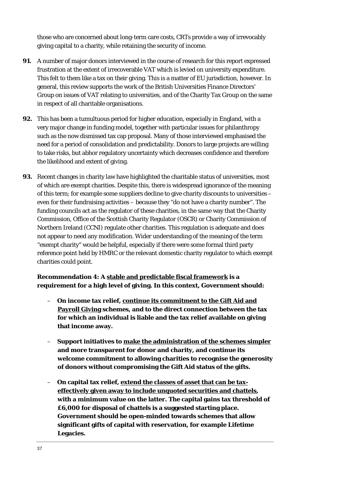those who are concerned about long-term care costs, CRTs provide a way of irrevocably giving capital to a charity, while retaining the security of income.

- **91.** A number of major donors interviewed in the course of research for this report expressed frustration at the extent of irrecoverable VAT which is levied on university expenditure. This felt to them like a tax on their giving. This is a matter of EU jurisdiction, however. In general, this review supports the work of the British Universities Finance Directors' Group on issues of VAT relating to universities, and of the Charity Tax Group on the same in respect of all charitable organisations.
- **92.** This has been a tumultuous period for higher education, especially in England, with a very major change in funding model, together with particular issues for philanthropy such as the now dismissed tax cap proposal. Many of those interviewed emphasised the need for a period of consolidation and predictability. Donors to large projects are willing to take risks, but abhor regulatory uncertainty which decreases confidence and therefore the likelihood and extent of giving.
- **93.** Recent changes in charity law have highlighted the charitable status of universities, most of which are exempt charities. Despite this, there is widespread ignorance of the meaning of this term; for example some suppliers decline to give charity discounts to universities – even for their fundraising activities – because they "do not have a charity number". The funding councils act as the regulator of these charities, in the same way that the Charity Commission, Office of the Scottish Charity Regulator (OSCR) or Charity Commission of Northern Ireland (CCNI) regulate other charities. This regulation is adequate and does not appear to need any modification. Wider understanding of the meaning of the term "exempt charity" would be helpful, especially if there were some formal third party reference point held by HMRC or the relevant domestic charity regulator to which exempt charities could point.

### **Recommendation 4: A stable and predictable fiscal framework is a requirement for a high level of giving. In this context, Government should:**

- **On income tax relief, continue its commitment to the Gift Aid and Payroll Giving schemes, and to the direct connection between the tax for which an individual is liable and the tax relief available on giving that income away.**
- **Support initiatives to make the administration of the schemes simpler and more transparent for donor and charity, and continue its welcome commitment to allowing charities to recognise the generosity of donors without compromising the Gift Aid status of the gifts.**
- **On capital tax relief, extend the classes of asset that can be taxeffectively given away to include unquoted securities and chattels, with a minimum value on the latter. The capital gains tax threshold of £6,000 for disposal of chattels is a suggested starting place. Government should be open-minded towards schemes that allow significant gifts of capital with reservation, for example Lifetime Legacies.**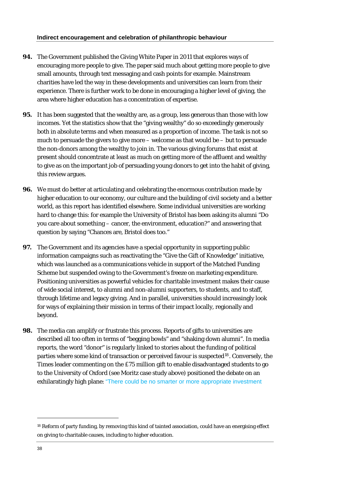- **94.** The Government published the Giving White Paper in 2011 that explores ways of encouraging more people to give. The paper said much about getting more people to give small amounts, through text messaging and cash points for example. Mainstream charities have led the way in these developments and universities can learn from their experience. There is further work to be done in encouraging a higher level of giving, the area where higher education has a concentration of expertise.
- **95.** It has been suggested that the wealthy are, as a group, less generous than those with low incomes. Yet the statistics show that the "giving wealthy" do so exceedingly generously both in absolute terms and when measured as a proportion of income. The task is not so much to persuade the givers to give more – welcome as that would be – but to persuade the non-donors among the wealthy to join in. The various giving forums that exist at present should concentrate at least as much on getting more of the affluent and wealthy to give as on the important job of persuading young donors to get into the habit of giving, this review argues.
- **96.** We must do better at articulating and celebrating the enormous contribution made by higher education to our economy, our culture and the building of civil society and a better world, as this report has identified elsewhere. Some individual universities are working hard to change this: for example the University of Bristol has been asking its alumni "Do you care about something – cancer, the environment, education?" and answering that question by saying "Chances are, Bristol does too."
- **97.** The Government and its agencies have a special opportunity in supporting public information campaigns such as reactivating the "Give the Gift of Knowledge" initiative, which was launched as a communications vehicle in support of the Matched Funding Scheme but suspended owing to the Government's freeze on marketing expenditure. Positioning universities as powerful vehicles for charitable investment makes their cause of wide social interest, to alumni and non-alumni supporters, to students, and to staff, through lifetime and legacy giving. And in parallel, universities should increasingly look for ways of explaining their mission in terms of their impact locally, regionally and beyond.
- **98.** The media can amplify or frustrate this process. Reports of gifts to universities are described all too often in terms of "begging bowls" and "shaking down alumni". In media reports, the word "donor" is regularly linked to stories about the funding of political parties where some kind of transaction or perceived favour is suspected<sup>[18](#page-38-0)</sup>. Conversely, the Times leader commenting on the £75 million gift to enable disadvantaged students to go to the University of Oxford (see Moritz case study above) positioned the debate on an exhilaratingly high plane: "There could be no smarter or more appropriate investment

<span id="page-38-0"></span><sup>18</sup> Reform of party funding, by removing this kind of tainted association, could have an energising effect on giving to charitable causes, including to higher education.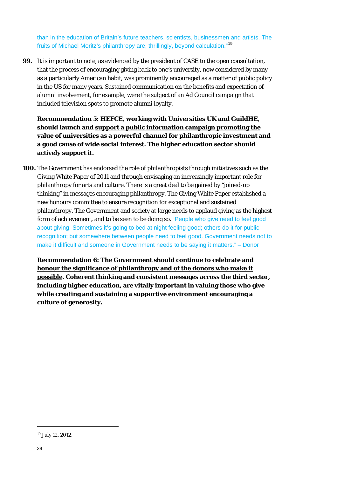than in the education of Britain's future teachers, scientists, businessmen and artists. The fruits of Michael Moritz's philanthropy are, thrillingly, beyond calculation."<sup>19</sup>

**99.** It is important to note, as evidenced by the president of CASE to the open consultation, that the process of encouraging giving back to one's university, now considered by many as a particularly American habit, was prominently encouraged as a matter of public policy in the US for many years. Sustained communication on the benefits and expectation of alumni involvement, for example, were the subject of an Ad Council campaign that included television spots to promote alumni loyalty.

**Recommendation 5: HEFCE, working with Universities UK and GuildHE, should launch and support a public information campaign promoting the value of universities as a powerful channel for philanthropic investment and a good cause of wide social interest. The higher education sector should actively support it.** 

**100.** The Government has endorsed the role of philanthropists through initiatives such as the Giving White Paper of 2011 and through envisaging an increasingly important role for philanthropy for arts and culture. There is a great deal to be gained by "joined-up thinking" in messages encouraging philanthropy. The Giving White Paper established a new honours committee to ensure recognition for exceptional and sustained philanthropy. The Government and society at large needs to applaud giving as the highest form of achievement, and to be seen to be doing so. "People who give need to feel good about giving. Sometimes it's going to bed at night feeling good; others do it for public recognition; but somewhere between people need to feel good. Government needs not to make it difficult and someone in Government needs to be saying it matters." – Donor

**Recommendation 6: The Government should continue to celebrate and honour the significance of philanthropy and of the donors who make it possible. Coherent thinking and consistent messages across the third sector, including higher education, are vitally important in valuing those who give while creating and sustaining a supportive environment encouraging a culture of generosity.** 

<sup>19</sup> July 12, 2012.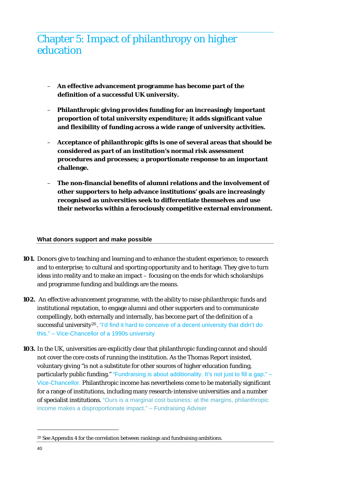### Chapter 5: Impact of philanthropy on higher education

- **An effective advancement programme has become part of the definition of a successful UK university.**
- **Philanthropic giving provides funding for an increasingly important proportion of total university expenditure; it adds significant value and flexibility of funding across a wide range of university activities.**
- **Acceptance of philanthropic gifts is one of several areas that should be considered as part of an institution's normal risk assessment procedures and processes; a proportionate response to an important challenge.**
- **The non-financial benefits of alumni relations and the involvement of other supporters to help advance institutions' goals are increasingly recognised as universities seek to differentiate themselves and use their networks within a ferociously competitive external environment.**

### **What donors support and make possible**

- **101.** Donors give to teaching and learning and to enhance the student experience; to research and to enterprise; to cultural and sporting opportunity and to heritage. They give to turn ideas into reality and to make an impact – focusing on the ends for which scholarships and programme funding and buildings are the means.
- **102.** An effective advancement programme, with the ability to raise philanthropic funds and institutional reputation, to engage alumni and other supporters and to communicate compellingly, both externally and internally, has become part of the definition of a successful university<sup>[20](#page-40-0)</sup>. "I'd find it hard to conceive of a decent university that didn't do this." – Vice-Chancellor of a 1990s university
- **103.** In the UK, universities are explicitly clear that philanthropic funding cannot and should not cover the core costs of running the institution. As the Thomas Report insisted, voluntary giving "is not a substitute for other sources of higher education funding, particularly public funding." "Fundraising is about additionality. It's not just to fill a gap." – Vice-Chancellor. Philanthropic income has nevertheless come to be materially significant for a range of institutions, including many research-intensive universities and a number of specialist institutions. "Ours is a marginal cost business: at the margins, philanthropic income makes a disproportionate impact." – Fundraising Adviser

<span id="page-40-0"></span><sup>20</sup> See Appendix 4 for the correlation between rankings and fundraising ambitions.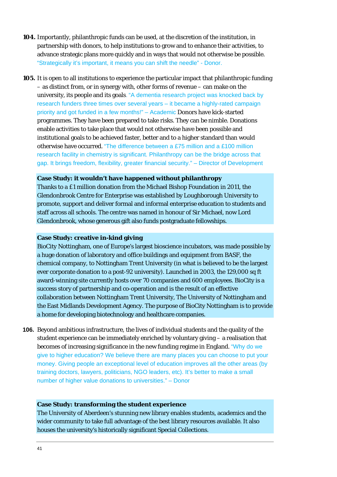- **104.** Importantly, philanthropic funds can be used, at the discretion of the institution, in partnership with donors, to help institutions to grow and to enhance their activities, to advance strategic plans more quickly and in ways that would not otherwise be possible. "Strategically it's important, it means you can shift the needle" - Donor.
- **105.** It is open to all institutions to experience the particular impact that philanthropic funding – as distinct from, or in synergy with, other forms of revenue – can make on the university, its people and its goals. "A dementia research project was knocked back by research funders three times over several years – it became a highly-rated campaign priority and got funded in a few months!" – Academic Donors have kick-started programmes. They have been prepared to take risks. They can be nimble. Donations enable activities to take place that would not otherwise have been possible and institutional goals to be achieved faster, better and to a higher standard than would otherwise have occurred. "The difference between a £75 million and a £100 million research facility in chemistry is significant. Philanthropy can be the bridge across that gap. It brings freedom, flexibility, greater financial security." – Director of Development

### **Case Study: it wouldn't have happened without philanthropy**

Thanks to a £1 million donation from the Michael Bishop Foundation in 2011, the Glendonbrook Centre for Enterprise was established by Loughborough University to promote, support and deliver formal and informal enterprise education to students and staff across all schools. The centre was named in honour of Sir Michael, now Lord Glendonbrook, whose generous gift also funds postgraduate fellowships.

#### **Case Study: creative in-kind giving**

BioCity Nottingham, one of Europe's largest bioscience incubators, was made possible by a huge donation of laboratory and office buildings and equipment from BASF, the chemical company, to Nottingham Trent University (in what is believed to be the largest ever corporate donation to a post-92 university). Launched in 2003, the 129,000 sq ft award-winning site currently hosts over 70 companies and 600 employees. BioCity is a success story of partnership and co-operation and is the result of an effective collaboration between Nottingham Trent University, The University of Nottingham and the East Midlands Development Agency. The purpose of BioCity Nottingham is to provide a home for developing biotechnology and healthcare companies.

**106.** Beyond ambitious infrastructure, the lives of individual students and the quality of the student experience can be immediately enriched by voluntary giving – a realisation that becomes of increasing significance in the new funding regime in England. "Why do we give to higher education? We believe there are many places you can choose to put your money. Giving people an exceptional level of education improves all the other areas (by training doctors, lawyers, politicians, NGO leaders, etc). It's better to make a small number of higher value donations to universities." – Donor

### **Case Study: transforming the student experience**

The University of Aberdeen's stunning new library enables students, academics and the wider community to take full advantage of the best library resources available. It also houses the university's historically significant Special Collections.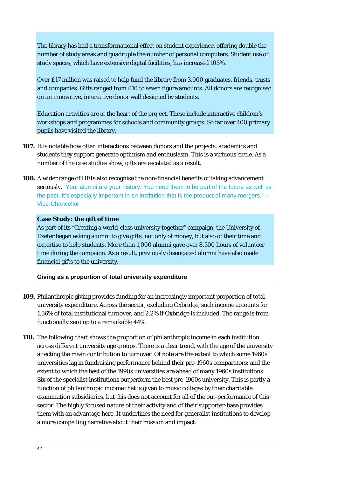The library has had a transformational effect on student experience, offering double the number of study areas and quadruple the number of personal computers. Student use of study spaces, which have extensive digital facilities, has increased 105%.

Over £17 million was raised to help fund the library from 3,000 graduates, friends, trusts and companies. Gifts ranged from £10 to seven figure amounts. All donors are recognised on an innovative, interactive donor wall designed by students.

Education activities are at the heart of the project. These include interactive children's workshops and programmes for schools and community groups. So far over 400 primary pupils have visited the library.

- **107.** It is notable how often interactions between donors and the projects, academics and students they support generate optimism and enthusiasm. This is a virtuous circle. As a number of the case studies show, gifts are escalated as a result.
- **108.** A wider range of HEIs also recognise the non-financial benefits of taking advancement seriously. "Your alumni are your history. You need them to be part of the future as well as the past. It's especially important in an institution that is the product of many mergers." – Vice-Chancellor

#### **Case Study: the gift of time**

As part of its "Creating a world-class university together" campaign, the University of Exeter began asking alumni to give gifts, not only of money, but also of their time and expertise to help students. More than 1,000 alumni gave over 8,500 hours of volunteer time during the campaign. As a result, previously disengaged alumni have also made financial gifts to the university.

### **Giving as a proportion of total university expenditure**

- **109.** Philanthropic giving provides funding for an increasingly important proportion of total university expenditure. Across the sector, excluding Oxbridge, such income accounts for 1.36% of total institutional turnover, and 2.2% if Oxbridge is included. The range is from functionally zero up to a remarkable 44%.
- **110.** The following chart shows the proportion of philanthropic income in each institution across different university age groups. There is a clear trend, with the age of the university affecting the mean contribution to turnover. Of note are the extent to which some 1960s universities lag in fundraising performance behind their pre-1960s comparators; and the extent to which the best of the 1990s universities are ahead of many 1960s institutions. Six of the specialist institutions outperform the best pre-1960s university. This is partly a function of philanthropic income that is given to music colleges by their charitable examination subsidiaries, but this does not account for all of the out-performance of this sector. The highly focused nature of their activity and of their supporter-base provides them with an advantage here. It underlines the need for generalist institutions to develop a more compelling narrative about their mission and impact.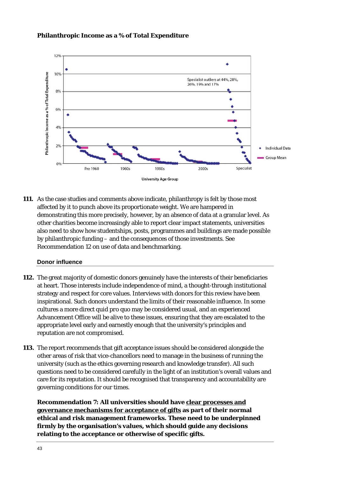### **Philanthropic Income as a % of Total Expenditure**



**111.** As the case studies and comments above indicate, philanthropy is felt by those most affected by it to punch above its proportionate weight. We are hampered in demonstrating this more precisely, however, by an absence of data at a granular level. As other charities become increasingly able to report clear impact statements, universities also need to show how studentships, posts, programmes and buildings are made possible by philanthropic funding – and the consequences of those investments. See Recommendation 12 on use of data and benchmarking.

### **Donor influence**

- **112.** The great majority of domestic donors genuinely have the interests of their beneficiaries at heart. Those interests include independence of mind, a thought-through institutional strategy and respect for core values. Interviews with donors for this review have been inspirational. Such donors understand the limits of their reasonable influence. In some cultures a more direct q*uid pro quo* may be considered usual, and an experienced Advancement Office will be alive to these issues, ensuring that they are escalated to the appropriate level early and earnestly enough that the university's principles and reputation are not compromised.
- **113.** The report recommends that gift acceptance issues should be considered alongside the other areas of risk that vice-chancellors need to manage in the business of running the university (such as the ethics governing research and knowledge transfer). All such questions need to be considered carefully in the light of an institution's overall values and care for its reputation. It should be recognised that transparency and accountability are governing conditions for our times.

**Recommendation 7: All universities should have clear processes and governance mechanisms for acceptance of gifts as part of their normal ethical and risk management frameworks. These need to be underpinned firmly by the organisation's values, which should guide any decisions relating to the acceptance or otherwise of specific gifts.**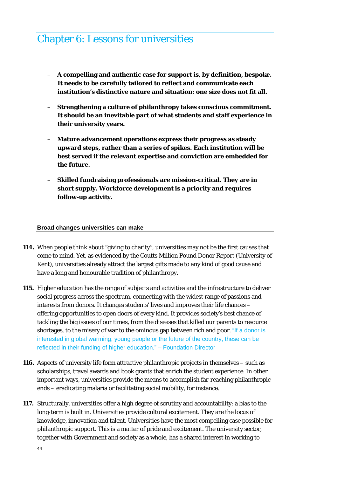### Chapter 6: Lessons for universities

- **A compelling and authentic case for support is, by definition, bespoke. It needs to be carefully tailored to reflect and communicate each institution's distinctive nature and situation: one size does not fit all.**
- **Strengthening a culture of philanthropy takes conscious commitment. It should be an inevitable part of what students and staff experience in their university years.**
- **Mature advancement operations express their progress as steady upward steps, rather than a series of spikes. Each institution will be best served if the relevant expertise and conviction are embedded for the future.**
- **Skilled fundraising professionals are mission-critical. They are in short supply. Workforce development is a priority and requires follow-up activity.**

#### **Broad changes universities can make**

- **114.** When people think about "giving to charity", universities may not be the first causes that come to mind. Yet, as evidenced by the Coutts Million Pound Donor Report (University of Kent), universities already attract the largest gifts made to any kind of good cause and have a long and honourable tradition of philanthropy.
- **115.** Higher education has the range of subjects and activities and the infrastructure to deliver social progress across the spectrum, connecting with the widest range of passions and interests from donors. It changes students' lives and improves their life chances – offering opportunities to open doors of every kind. It provides society's best chance of tackling the big issues of our times, from the diseases that killed our parents to resource shortages, to the misery of war to the ominous gap between rich and poor. "If a donor is interested in global warming, young people or the future of the country, these can be reflected in their funding of higher education." – Foundation Director
- **116.** Aspects of university life form attractive philanthropic projects in themselves such as scholarships, travel awards and book grants that enrich the student experience. In other important ways, universities provide the means to accomplish far-reaching philanthropic ends – eradicating malaria or facilitating social mobility, for instance.
- **117.** Structurally, universities offer a high degree of scrutiny and accountability; a bias to the long-term is built in. Universities provide cultural excitement. They are the locus of knowledge, innovation and talent. Universities have the most compelling case possible for philanthropic support. This is a matter of pride and excitement. The university sector, together with Government and society as a whole, has a shared interest in working to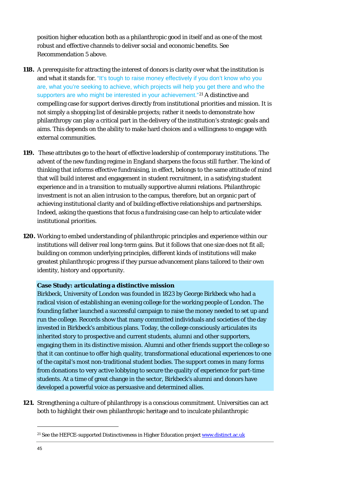position higher education both as a philanthropic good in itself and as one of the most robust and effective channels to deliver social and economic benefits. See Recommendation 5 above.

- **118.** A prerequisite for attracting the interest of donors is clarity over what the institution is and what it stands for. "It's tough to raise money effectively if you don't know who you are, what you're seeking to achieve, which projects will help you get there and who the supporters are who might be interested in your achievement."<sup>[21](#page-45-0)</sup> A distinctive and compelling case for support derives directly from institutional priorities and mission. It is not simply a shopping list of desirable projects; rather it needs to demonstrate how philanthropy can play a critical part in the delivery of the institution's strategic goals and aims. This depends on the ability to make hard choices and a willingness to engage with external communities.
- **119.** These attributes go to the heart of effective leadership of contemporary institutions. The advent of the new funding regime in England sharpens the focus still further. The kind of thinking that informs effective fundraising, in effect, belongs to the same attitude of mind that will build interest and engagement in student recruitment, in a satisfying student experience and in a transition to mutually supportive alumni relations. Philanthropic investment is not an alien intrusion to the campus, therefore, but an organic part of achieving institutional clarity and of building effective relationships and partnerships. Indeed, asking the questions that focus a fundraising case can help to articulate wider institutional priorities.
- **120.** Working to embed understanding of philanthropic principles and experience within our institutions will deliver real long-term gains. But it follows that one size does not fit all; building on common underlying principles, different kinds of institutions will make greatest philanthropic progress if they pursue advancement plans tailored to their own identity, history and opportunity.

### **Case Study: articulating a distinctive mission**

Birkbeck, University of London was founded in 1823 by George Birkbeck who had a radical vision of establishing an evening college for the working people of London. The founding father launched a successful campaign to raise the money needed to set up and run the college. Records show that many committed individuals and societies of the day invested in Birkbeck's ambitious plans. Today, the college consciously articulates its inherited story to prospective and current students, alumni and other supporters, engaging them in its distinctive mission. Alumni and other friends support the college so that it can continue to offer high quality, transformational educational experiences to one of the capital's most non-traditional student bodies. The support comes in many forms from donations to very active lobbying to secure the quality of experience for part-time students. At a time of great change in the sector, Birkbeck's alumni and donors have developed a powerful voice as persuasive and determined allies.

**121.** Strengthening a culture of philanthropy is a conscious commitment. Universities can act both to highlight their own philanthropic heritage and to inculcate philanthropic

<span id="page-45-0"></span><sup>&</sup>lt;sup>21</sup> See the HEFCE-supported Distinctiveness in Higher Education project [www.distinct.ac.uk](http://www.distinct.ac.uk/)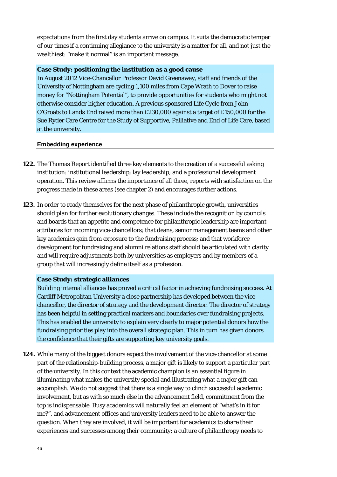expectations from the first day students arrive on campus. It suits the democratic temper of our times if a continuing allegiance to the university is a matter for all, and not just the wealthiest: "make it normal" is an important message.

### **Case Study: positioning the institution as a good cause**

In August 2012 Vice-Chancellor Professor David Greenaway, staff and friends of the University of Nottingham are cycling 1,100 miles from Cape Wrath to Dover to raise money for "Nottingham Potential", to provide opportunities for students who might not otherwise consider higher education. A previous sponsored Life Cycle from John O'Groats to Lands End raised more than £230,000 against a target of £150,000 for the Sue Ryder Care Centre for the Study of Supportive, Palliative and End of Life Care, based at the university.

#### **Embedding experience**

- **122.** The Thomas Report identified three key elements to the creation of a successful asking institution: institutional leadership; lay leadership; and a professional development operation. This review affirms the importance of all three, reports with satisfaction on the progress made in these areas (see chapter 2) and encourages further actions.
- **123.** In order to ready themselves for the next phase of philanthropic growth, universities should plan for further evolutionary changes. These include the recognition by councils and boards that an appetite and competence for philanthropic leadership are important attributes for incoming vice-chancellors; that deans, senior management teams and other key academics gain from exposure to the fundraising process; and that workforce development for fundraising and alumni relations staff should be articulated with clarity and will require adjustments both by universities as employers and by members of a group that will increasingly define itself as a profession.

#### **Case Study: strategic alliances**

Building internal alliances has proved a critical factor in achieving fundraising success. At Cardiff Metropolitan University a close partnership has developed between the vicechancellor, the director of strategy and the development director. The director of strategy has been helpful in setting practical markers and boundaries over fundraising projects. This has enabled the university to explain very clearly to major potential donors how the fundraising priorities play into the overall strategic plan. This in turn has given donors the confidence that their gifts are supporting key university goals.

**124.** While many of the biggest donors expect the involvement of the vice-chancellor at some part of the relationship-building process, a major gift is likely to support a particular part of the university. In this context the academic champion is an essential figure in illuminating what makes the university special and illustrating what a major gift can accomplish. We do not suggest that there is a single way to clinch successful academic involvement, but as with so much else in the advancement field, commitment from the top is indispensable. Busy academics will naturally feel an element of "what's in it for me?", and advancement offices and university leaders need to be able to answer the question. When they are involved, it will be important for academics to share their experiences and successes among their community; a culture of philanthropy needs to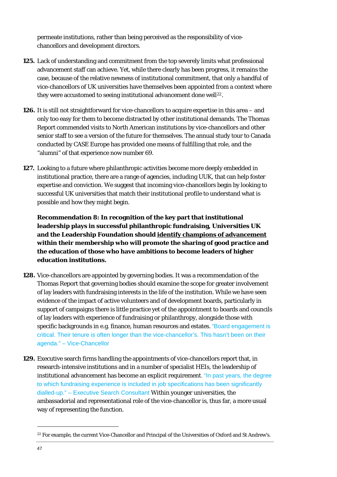permeate institutions, rather than being perceived as the responsibility of vicechancellors and development directors.

- **125.** Lack of understanding and commitment from the top severely limits what professional advancement staff can achieve. Yet, while there clearly has been progress, it remains the case, because of the relative newness of institutional commitment, that only a handful of vice-chancellors of UK universities have themselves been appointed from a context where they were accustomed to seeing institutional advancement done well<sup>[22](#page-47-0)</sup>.
- **126.** It is still not straightforward for vice-chancellors to acquire expertise in this area and only too easy for them to become distracted by other institutional demands. The Thomas Report commended visits to North American institutions by vice-chancellors and other senior staff to see a version of the future for themselves. The annual study tour to Canada conducted by CASE Europe has provided one means of fulfilling that role, and the "alumni" of that experience now number 69.
- **127.** Looking to a future where philanthropic activities become more deeply embedded in institutional practice, there are a range of agencies, including UUK, that can help foster expertise and conviction. We suggest that incoming vice-chancellors begin by looking to successful UK universities that match their institutional profile to understand what is possible and how they might begin.

**Recommendation 8: In recognition of the key part that institutional leadership plays in successful philanthropic fundraising, Universities UK and the Leadership Foundation should identify champions of advancement within their membership who will promote the sharing of good practice and the education of those who have ambitions to become leaders of higher education institutions.** 

- **128.** Vice-chancellors are appointed by governing bodies. It was a recommendation of the Thomas Report that governing bodies should examine the scope for greater involvement of lay leaders with fundraising interests in the life of the institution. While we have seen evidence of the impact of active volunteers and of development boards, particularly in support of campaigns there is little practice yet of the appointment to boards and councils of lay leaders with experience of fundraising or philanthropy, alongside those with specific backgrounds in e.g. finance, human resources and estates. "Board engagement is critical. Their tenure is often longer than the vice-chancellor's. This hasn't been on their agenda." – Vice-Chancellor
- **129.** Executive search firms handling the appointments of vice-chancellors report that, in research-intensive institutions and in a number of specialist HEIs, the leadership of institutional advancement has become an explicit requirement. "In past years, the degree to which fundraising experience is included in job specifications has been significantly dialled-up." – Executive Search Consultant Within younger universities, the ambassadorial and representational role of the vice-chancellor is, thus far, a more usual way of representing the function.

 $\ddot{ }$ 

<span id="page-47-0"></span><sup>&</sup>lt;sup>22</sup> For example, the current Vice-Chancellor and Principal of the Universities of Oxford and St Andrew's.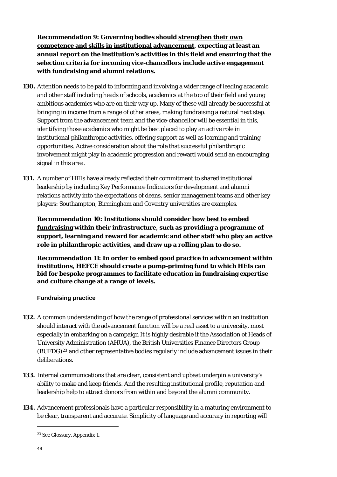**Recommendation 9: Governing bodies should strengthen their own competence and skills in institutional advancement, expecting at least an annual report on the institution's activities in this field and ensuring that the selection criteria for incoming vice-chancellors include active engagement with fundraising and alumni relations.** 

- **130.** Attention needs to be paid to informing and involving a wider range of leading academic and other staff including heads of schools, academics at the top of their field and young ambitious academics who are on their way up. Many of these will already be successful at bringing in income from a range of other areas, making fundraising a natural next step. Support from the advancement team and the vice-chancellor will be essential in this, identifying those academics who might be best placed to play an active role in institutional philanthropic activities, offering support as well as learning and training opportunities. Active consideration about the role that successful philanthropic involvement might play in academic progression and reward would send an encouraging signal in this area.
- **131.** A number of HEIs have already reflected their commitment to shared institutional leadership by including Key Performance Indicators for development and alumni relations activity into the expectations of deans, senior management teams and other key players: Southampton, Birmingham and Coventry universities are examples.

**Recommendation 10: Institutions should consider how best to embed fundraising within their infrastructure, such as providing a programme of support, learning and reward for academic and other staff who play an active role in philanthropic activities, and draw up a rolling plan to do so.** 

**Recommendation 11: In order to embed good practice in advancement within institutions, HEFCE should create a pump-priming fund to which HEIs can bid for bespoke programmes to facilitate education in fundraising expertise and culture change at a range of levels.** 

**Fundraising practice** 

- **132.** A common understanding of how the range of professional services within an institution should interact with the advancement function will be a real asset to a university, most especially in embarking on a campaign It is highly desirable if the Association of Heads of University Administration (AHUA), the British Universities Finance Directors Group  $(BUFDG)^{23}$  $(BUFDG)^{23}$  $(BUFDG)^{23}$  and other representative bodies regularly include advancement issues in their deliberations.
- **133.** Internal communications that are clear, consistent and upbeat underpin a university's ability to make and keep friends. And the resulting institutional profile, reputation and leadership help to attract donors from within and beyond the alumni community.
- <span id="page-48-0"></span>**134.** Advancement professionals have a particular responsibility in a maturing environment to be clear, transparent and accurate. Simplicity of language and accuracy in reporting will

<sup>23</sup> See Glossary, Appendix 1.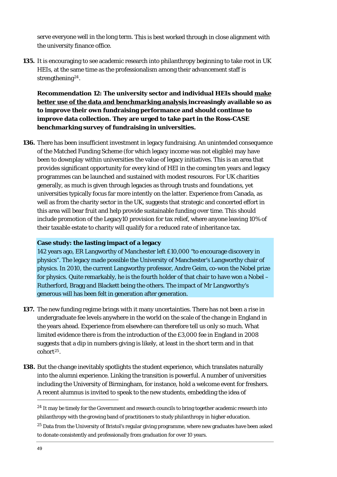serve everyone well in the long term. This is best worked through in close alignment with the university finance office.

**135.** It is encouraging to see academic research into philanthropy beginning to take root in UK HEIs, at the same time as the professionalism among their advancement staff is strengthening<sup>[24](#page-49-0)</sup>.

**Recommendation 12: The university sector and individual HEIs should make better use of the data and benchmarking analysis increasingly available so as to improve their own fundraising performance and should continue to improve data collection. They are urged to take part in the Ross-CASE benchmarking survey of fundraising in universities.** 

**136.** There has been insufficient investment in legacy fundraising. An unintended consequence of the Matched Funding Scheme (for which legacy income was not eligible) may have been to downplay within universities the value of legacy initiatives. This is an area that provides significant opportunity for every kind of HEI in the coming ten years and legacy programmes can be launched and sustained with modest resources. For UK charities generally, as much is given through legacies as through trusts and foundations, yet universities typically focus far more intently on the latter. Experience from Canada, as well as from the charity sector in the UK, suggests that strategic and concerted effort in this area will bear fruit and help provide sustainable funding over time. This should include promotion of the Legacy10 provision for tax relief, where anyone leaving 10% of their taxable estate to charity will qualify for a reduced rate of inheritance tax.

### **Case study: the lasting impact of a legacy**

142 years ago, ER Langworthy of Manchester left £10,000 "to encourage discovery in physics". The legacy made possible the University of Manchester's Langworthy chair of physics. In 2010, the current Langworthy professor, Andre Geim, co-won the Nobel prize for physics. Quite remarkably, he is the fourth holder of that chair to have won a Nobel – Rutherford, Bragg and Blackett being the others. The impact of Mr Langworthy's generous will has been felt in generation after generation.

- **137.** The new funding regime brings with it many uncertainties. There has not been a rise in undergraduate fee levels anywhere in the world on the scale of the change in England in the years ahead. Experience from elsewhere can therefore tell us only so much. What limited evidence there is from the introduction of the £3,000 fee in England in 2008 suggests that a dip in numbers giving is likely, at least in the short term and in that cohort[25](#page-49-1).
- **138.** But the change inevitably spotlights the student experience, which translates naturally into the alumni experience. Linking the transition is powerful. A number of universities including the University of Birmingham, for instance, hold a welcome event for freshers. A recent alumnus is invited to speak to the new students, embedding the idea of

<span id="page-49-0"></span><sup>&</sup>lt;sup>24</sup> It may be timely for the Government and research councils to bring together academic research into philanthropy with the growing band of practitioners to study philanthropy in higher education.

<span id="page-49-1"></span> $25$  Data from the University of Bristol's regular giving programme, where new graduates have been asked to donate consistently and professionally from graduation for over 10 years.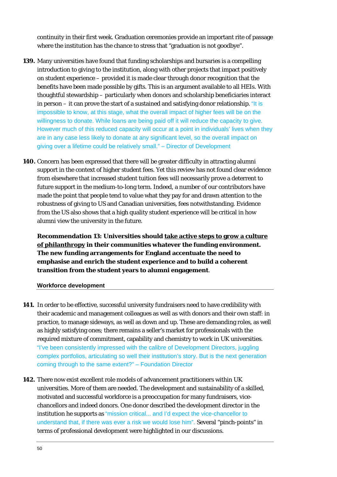continuity in their first week. Graduation ceremonies provide an important rite of passage where the institution has the chance to stress that "graduation is not goodbye".

- **139.** Many universities have found that funding scholarships and bursaries is a compelling introduction to giving to the institution, along with other projects that impact positively on student experience – provided it is made clear through donor recognition that the benefits have been made possible by gifts. This is an argument available to all HEIs. With thoughtful stewardship – particularly when donors and scholarship beneficiaries interact in person – it can prove the start of a sustained and satisfying donor relationship. "It is impossible to know, at this stage, what the overall impact of higher fees will be on the willingness to donate. While loans are being paid off it will reduce the capacity to give. However much of this reduced capacity will occur at a point in individuals' lives when they are in any case less likely to donate at any significant level, so the overall impact on giving over a lifetime could be relatively small." – Director of Development
- **140.** Concern has been expressed that there will be greater difficulty in attracting alumni support in the context of higher student fees. Yet this review has not found clear evidence from elsewhere that increased student tuition fees will necessarily prove a deterrent to future support in the medium-to-long term. Indeed, a number of our contributors have made the point that people tend to value what they pay for and drawn attention to the robustness of giving to US and Canadian universities, fees notwithstanding. Evidence from the US also shows that a high quality student experience will be critical in how alumni view the university in the future.

**Recommendation 13: Universities should take active steps to grow a culture of philanthropy in their communities whatever the funding environment. The new funding arrangements for England accentuate the need to emphasise and enrich the student experience and to build a coherent transition from the student years to alumni engagement**.

### **Workforce development**

- 141. In order to be effective, successful university fundraisers need to have credibility with their academic and management colleagues as well as with donors and their own staff: in practice, to manage sideways, as well as down and up. These are demanding roles, as well as highly satisfying ones; there remains a seller's market for professionals with the required mixture of commitment, capability and chemistry to work in UK universities. "I've been consistently impressed with the calibre of Development Directors, juggling complex portfolios, articulating so well their institution's story. But is the next generation coming through to the same extent?" – Foundation Director
- **142.** There now exist excellent role models of advancement practitioners within UK universities. More of them are needed. The development and sustainability of a skilled, motivated and successful workforce is a preoccupation for many fundraisers, vicechancellors and indeed donors. One donor described the development director in the institution he supports as "mission critical... and I'd expect the vice-chancellor to understand that, if there was ever a risk we would lose him". Several "pinch-points" in terms of professional development were highlighted in our discussions.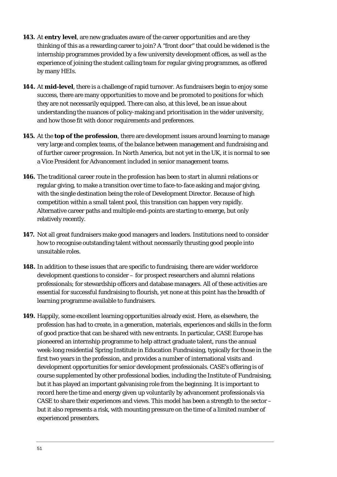- **143.** At **entry level**, are new graduates aware of the career opportunities and are they thinking of this as a rewarding career to join? A "front door" that could be widened is the internship programmes provided by a few university development offices, as well as the experience of joining the student calling team for regular giving programmes, as offered by many HEIs.
- **144.** At **mid-level**, there is a challenge of rapid turnover. As fundraisers begin to enjoy some success, there are many opportunities to move and be promoted to positions for which they are not necessarily equipped. There can also, at this level, be an issue about understanding the nuances of policy-making and prioritisation in the wider university, and how those fit with donor requirements and preferences.
- **145.** At the **top of the profession**, there are development issues around learning to manage very large and complex teams, of the balance between management and fundraising and of further career progression. In North America, but not yet in the UK, it is normal to see a Vice President for Advancement included in senior management teams.
- **146.** The traditional career route in the profession has been to start in alumni relations or regular giving, to make a transition over time to face-to-face asking and major giving, with the single destination being the role of Development Director. Because of high competition within a small talent pool, this transition can happen very rapidly. Alternative career paths and multiple end-points are starting to emerge, but only relatively recently.
- **147.** Not all great fundraisers make good managers and leaders. Institutions need to consider how to recognise outstanding talent without necessarily thrusting good people into unsuitable roles.
- **148.** In addition to these issues that are specific to fundraising, there are wider workforce development questions to consider – for prospect researchers and alumni relations professionals; for stewardship officers and database managers. All of these activities are essential for successful fundraising to flourish, yet none at this point has the breadth of learning programme available to fundraisers.
- **149.** Happily, some excellent learning opportunities already exist. Here, as elsewhere, the profession has had to create, in a generation, materials, experiences and skills in the form of good practice that can be shared with new entrants. In particular, CASE Europe has pioneered an internship programme to help attract graduate talent, runs the annual week-long residential Spring Institute in Education Fundraising, typically for those in the first two years in the profession, and provides a number of international visits and development opportunities for senior development professionals. CASE's offering is of course supplemented by other professional bodies, including the Institute of Fundraising, but it has played an important galvanising role from the beginning. It is important to record here the time and energy given up voluntarily by advancement professionals via CASE to share their experiences and views. This model has been a strength to the sector – but it also represents a risk, with mounting pressure on the time of a limited number of experienced presenters.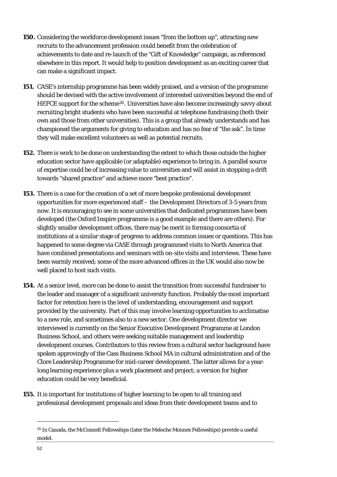- **150.** Considering the workforce development issues "from the bottom up", attracting new recruits to the advancement profession could benefit from the celebration of achievements to date and re-launch of the "Gift of Knowledge" campaign, as referenced elsewhere in this report. It would help to position development as an exciting career that can make a significant impact.
- **151.** CASE's internship programme has been widely praised, and a version of the programme should be devised with the active involvement of interested universities beyond the end of HEFCE support for the scheme<sup>[26](#page-52-0)</sup>. Universities have also become increasingly savvy about recruiting bright students who have been successful at telephone fundraising (both their own and those from other universities). This is a group that already understands and has championed the arguments for giving to education and has no fear of "the ask". In time they will make excellent volunteers as well as potential recruits.
- **152.** There is work to be done on understanding the extent to which those outside the higher education sector have applicable (or adaptable) experience to bring in. A parallel source of expertise could be of increasing value to universities and will assist in stopping a drift towards "shared practice" and achieve more "best practice".
- **153.** There is a case for the creation of a set of more bespoke professional development opportunities for more experienced staff – the Development Directors of 3-5 years from now. It is encouraging to see in some universities that dedicated programmes have been developed (the Oxford Inspire programme is a good example and there are others). For slightly smaller development offices, there may be merit in forming consortia of institutions at a similar stage of progress to address common issues or questions. This has happened to some degree via CASE through programmed visits to North America that have combined presentations and seminars with on-site visits and interviews. These have been warmly received; some of the more advanced offices in the UK would also now be well placed to host such visits.
- **154.** At a senior level, more can be done to assist the transition from successful fundraiser to the leader and manager of a significant university function. Probably the most important factor for retention here is the level of understanding, encouragement and support provided by the university. Part of this may involve learning opportunities to acclimatise to a new role, and sometimes also to a new sector. One development director we interviewed is currently on the Senior Executive Development Programme at London Business School, and others were seeking suitable management and leadership development courses. Contributors to this review from a cultural sector background have spoken approvingly of the Cass Business School MA in cultural administration and of the Clore Leadership Programme for mid-career development. The latter allows for a yearlong learning experience plus a work placement and project; a version for higher education could be very beneficial.
- **155.** It is important for institutions of higher learning to be open to all training and professional development proposals and ideas from their development teams and to

 $\ddot{ }$ 

<span id="page-52-0"></span><sup>26</sup> In Canada, the McConnell Fellowships (later the Meloche Monnex Fellowships) provide a useful model.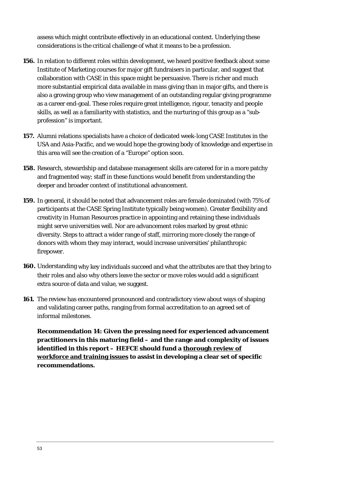assess which might contribute effectively in an educational context. Underlying these considerations is the critical challenge of what it means to be a profession.

- **156.** In relation to different roles within development, we heard positive feedback about some Institute of Marketing courses for major gift fundraisers in particular, and suggest that collaboration with CASE in this space might be persuasive. There is richer and much more substantial empirical data available in mass giving than in major gifts, and there is also a growing group who view management of an outstanding regular giving programme as a career end-goal. These roles require great intelligence, rigour, tenacity and people skills, as well as a familiarity with statistics, and the nurturing of this group as a "subprofession" is important.
- **157.** Alumni relations specialists have a choice of dedicated week-long CASE Institutes in the USA and Asia-Pacific, and we would hope the growing body of knowledge and expertise in this area will see the creation of a "Europe" option soon.
- **158.** Research, stewardship and database management skills are catered for in a more patchy and fragmented way; staff in these functions would benefit from understanding the deeper and broader context of institutional advancement.
- **159.** In general, it should be noted that advancement roles are female dominated (with 75% of participants at the CASE Spring Institute typically being women). Greater flexibility and creativity in Human Resources practice in appointing and retaining these individuals might serve universities well. Nor are advancement roles marked by great ethnic diversity. Steps to attract a wider range of staff, mirroring more closely the range of donors with whom they may interact, would increase universities' philanthropic firepower.
- **160.** Understanding why key individuals succeed and what the attributes are that they bring to their roles and also why others leave the sector or move roles would add a significant extra source of data and value, we suggest.
- **161.** The review has encountered pronounced and contradictory view about ways of shaping and validating career paths, ranging from formal accreditation to an agreed set of informal milestones.

**Recommendation 14: Given the pressing need for experienced advancement practitioners in this maturing field – and the range and complexity of issues identified in this report – HEFCE should fund a thorough review of workforce and training issues to assist in developing a clear set of specific recommendations.**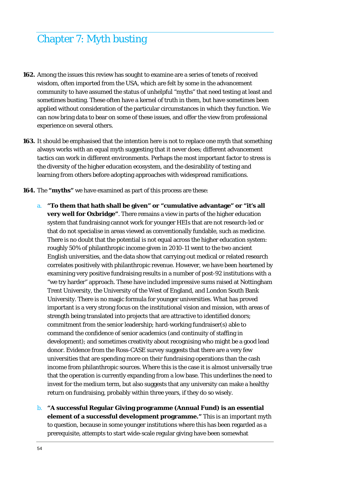# Chapter 7: Myth busting

- **162.** Among the issues this review has sought to examine are a series of tenets of received wisdom, often imported from the USA, which are felt by some in the advancement community to have assumed the status of unhelpful "myths" that need testing at least and sometimes busting. These often have a kernel of truth in them, but have sometimes been applied without consideration of the particular circumstances in which they function. We can now bring data to bear on some of these issues, and offer the view from professional experience on several others.
- **163.** It should be emphasised that the intention here is not to replace one myth that something always works with an equal myth suggesting that it never does; different advancement tactics can work in different environments. Perhaps the most important factor to stress is the diversity of the higher education ecosystem, and the desirability of testing and learning from others before adopting approaches with widespread ramifications.
- **164.** The **"myths"** we have examined as part of this process are these:
	- a. **"To them that hath shall be given" or "cumulative advantage" or "it's all very well for Oxbridge"**. There remains a view in parts of the higher education system that fundraising cannot work for younger HEIs that are not research-led or that do not specialise in areas viewed as conventionally fundable, such as medicine. There is no doubt that the potential is not equal across the higher education system: roughly 50% of philanthropic income given in 2010-11 went to the two ancient English universities, and the data show that carrying out medical or related research correlates positively with philanthropic revenue. However, we have been heartened by examining very positive fundraising results in a number of post-92 institutions with a "we try harder" approach. These have included impressive sums raised at Nottingham Trent University, the University of the West of England, and London South Bank University. There is no magic formula for younger universities. What has proved important is a very strong focus on the institutional vision and mission, with areas of strength being translated into projects that are attractive to identified donors; commitment from the senior leadership; hard-working fundraiser(s) able to command the confidence of senior academics (and continuity of staffing in development); and sometimes creativity about recognising who might be a good lead donor. Evidence from the Ross-CASE survey suggests that there are a very few universities that are spending more on their fundraising operations than the cash income from philanthropic sources. Where this is the case it is almost universally true that the operation is currently expanding from a low base. This underlines the need to invest for the medium term, but also suggests that any university can make a healthy return on fundraising, probably within three years, if they do so wisely.
	- b. **"A successful Regular Giving programme (Annual Fund) is an essential element of a successful development programme."** This is an important myth to question, because in some younger institutions where this has been regarded as a prerequisite, attempts to start wide-scale regular giving have been somewhat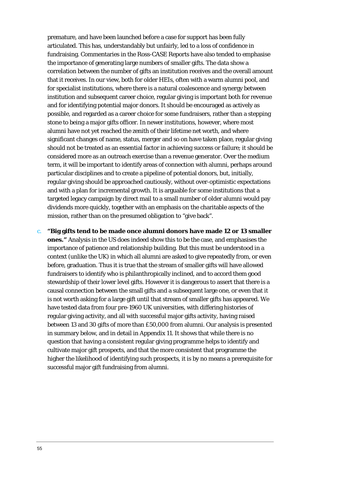premature, and have been launched before a case for support has been fully articulated. This has, understandably but unfairly, led to a loss of confidence in fundraising. Commentaries in the Ross-CASE Reports have also tended to emphasise the importance of generating large numbers of smaller gifts. The data show a correlation between the number of gifts an institution receives and the overall amount that it receives. In our view, both for older HEIs, often with a warm alumni pool, and for specialist institutions, where there is a natural coalescence and synergy between institution and subsequent career choice, regular giving is important both for revenue and for identifying potential major donors. It should be encouraged as actively as possible, and regarded as a career choice for some fundraisers, rather than a stepping stone to being a major gifts officer. In newer institutions, however, where most alumni have not yet reached the zenith of their lifetime net worth, and where significant changes of name, status, merger and so on have taken place, regular giving should not be treated as an essential factor in achieving success or failure; it should be considered more as an outreach exercise than a revenue generator. Over the medium term, it will be important to identify areas of connection with alumni, perhaps around particular disciplines and to create a pipeline of potential donors, but, initially, regular giving should be approached cautiously, without over-optimistic expectations and with a plan for incremental growth. It is arguable for some institutions that a targeted legacy campaign by direct mail to a small number of older alumni would pay dividends more quickly, together with an emphasis on the charitable aspects of the mission, rather than on the presumed obligation to "give back".

c. **"Big gifts tend to be made once alumni donors have made 12 or 13 smaller ones."** Analysis in the US does indeed show this to be the case, and emphasises the importance of patience and relationship building. But this must be understood in a context (unlike the UK) in which all alumni are asked to give repeatedly from, or even before, graduation. Thus it is true that the stream of smaller gifts will have allowed fundraisers to identify who is philanthropically inclined, and to accord them good stewardship of their lower level gifts. However it is dangerous to assert that there is a causal connection between the small gifts and a subsequent large one, or even that it is not worth asking for a large gift until that stream of smaller gifts has appeared. We have tested data from four pre-1960 UK universities, with differing histories of regular giving activity, and all with successful major gifts activity, having raised between 13 and 30 gifts of more than £50,000 from alumni. Our analysis is presented in summary below, and in detail in Appendix 11. It shows that while there is no question that having a consistent regular giving programme helps to identify and cultivate major gift prospects, and that the more consistent that programme the higher the likelihood of identifying such prospects, it is by no means a prerequisite for successful major gift fundraising from alumni.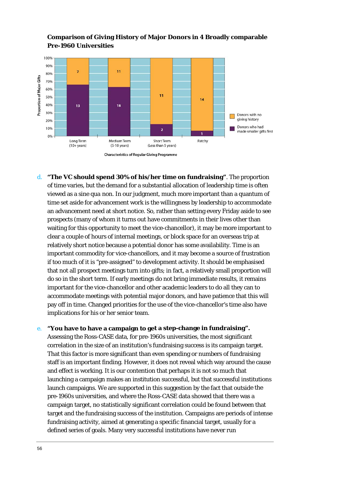

### **Comparison of Giving History of Major Donors in 4 Broadly comparable Pre-1960 Universities**

d. **The VC should spend 30% of his/her time on fundraising"**. The proportion **"** of time varies, but the demand for a substantial allocation of leadership time is often important commodity for vice-chancellors, and it may become a source of frustration pay off in time. Changed priorities for the use of the vice-chancellor's time also have viewed as a *sine qua non.* In our judgment, much more important than a quantum of time set aside for advancement work is the willingness by leadership to accommodate an advancement need at short notice. So, rather than setting every Friday aside to see prospects (many of whom it turns out have commitments in their lives other than waiting for this opportunity to meet the vice-chancellor), it may be more important to clear a couple of hours of internal meetings, or block space for an overseas trip at relatively short notice because a potential donor has some availability. Time is an if too much of it is "pre-assigned" to development activity. It should be emphasised that not all prospect meetings turn into gifts; in fact, a relatively small proportion will do so in the short term. If early meetings do not bring immediate results, it remains important for the vice-chancellor and other academic leaders to do all they can to accommodate meetings with potential major donors, and have patience that this will implications for his or her senior team.

### **e.** "You have to have a campaign to get a step-change in fundraising".

Assessing the Ross-CASE data, for pre-1960s universities, the most significant correlation in the size of an institution's fundraising success is its campaign target. That this factor is more significant than even spending or numbers of fundraising staff is an important finding. However, it does not reveal which way around the cause launch campaigns. We are supported in this suggestion by the fact that outside the target and the fundraising success of the institution. Campaigns are periods of intense and effect is working. It is our contention that perhaps it is not so much that launching a campaign makes an institution successful, but that successful institutions pre-1960s universities, and where the Ross-CASE data showed that there was a campaign target, no statistically significant correlation could be found between that fundraising activity, aimed at generating a specific financial target, usually for a defined series of goals. Many very successful institutions have never run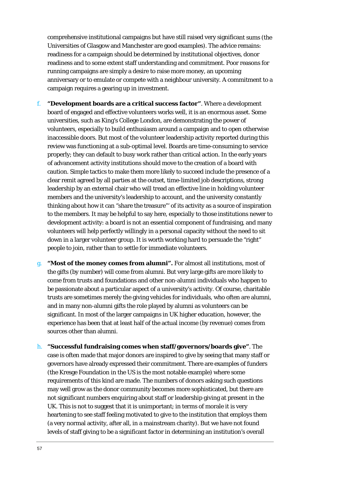comprehensive institutional campaigns but have still raised very significa nt sums (the Universities of Glasgow and Manchester are good examples). The advice remains: readiness for a campaign should be determined by institutional objectives, donor readiness and to some extent staff understanding and commitment. Poor reasons f or running campaigns are simply a desire to raise more money, an upcoming anniversary or to emulate or compete with a neighbour university. A comm itment to a campaign requires a gearing up in investment.

- f. **"Development boards are a critical success factor"**. Where a development volunteers, especially to build enthusiasm around a campaign and to open otherwise caution. Simple tactics to make them more likely to succeed include the presence of a thinking about how it can "share the treasure"' of its activity as a source of inspiration board of engaged and effective volunteers works well, it is an enormous asset. Some universities, such as King's College London, are demonstrating the power of inaccessible doors. But most of the volunteer leadership activity reported during this review was functioning at a sub-optimal level. Boards are time-consuming to service properly; they can default to busy work rather than critical action. In the early years of advancement activity institutions should move to the creation of a board with clear remit agreed by all parties at the outset, time-limited job descriptions, strong leadership by an external chair who will tread an effective line in holding volunteer members and the university's leadership to account, and the university constantly to the members. It may be helpful to say here, especially to those institutions newer to development activity: a board is not an essential component of fundraising, and many volunteers will help perfectly willingly in a personal capacity without the need to sit down in a larger volunteer group. It is worth working hard to persuade the "right" people to join, rather than to settle for immediate volunteers.
- g. **"Most of the money comes from alumni".** For almost all institutions, most of significant. In most of the larger campaigns in UK higher education, however, the the gifts (by number) will come from alumni. But very large gifts are more likely to come from trusts and foundations and other non-alumni individuals who happen to be passionate about a particular aspect of a university's activity. Of course, charitable trusts are sometimes merely the giving vehicles for individuals, who often are alumni, and in many non-alumni gifts the role played by alumni as volunteers can be experience has been that at least half of the actual income (by revenue) comes from sources other than alumni.
- h. **"Successful fundraising comes when staff/governors/boards give"**. The case is often made that major donors are inspired to give by seeing that many staff or requirements of this kind are made. The numbers of donors asking such questions heartening to see staff feeling motivated to give to the institution that employs them levels of staff giving to be a significant factor in determining an institution's overall governors have already expressed their commitment. There are examples of funders (the Kresge Foundation in the US is the most notable example) where some may well grow as the donor community becomes more sophisticated, but there are not significant numbers enquiring about staff or leadership giving at present in the UK. This is not to suggest that it is unimportant; in terms of morale it is very (a very normal activity, after all, in a mainstream charity). But we have not found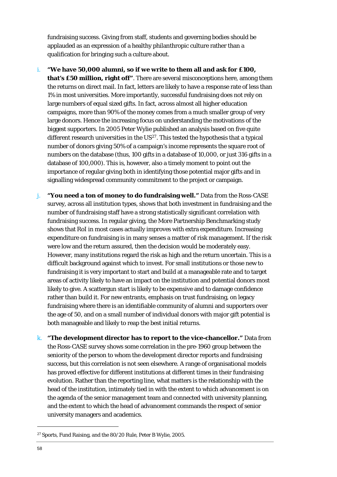fundraising success. Giving from staff, students and governing bodies should be applauded as an expression of a healthy philanthropic culture rather than a qualification for bringing such a culture about.

- i. **"We have 50,000 alumni, so if we write to them all and ask for £100, that's £50 million, right off"**. There are several misconceptions here, among them campaigns, more than 90% of the money comes from a much smaller group of very numbers on the database (thus, 100 gifts in a database of 10,000, or just 316 gifts in a in importance of regular giving both in identifying those potential major gifts and the returns on direct mail. In fact, letters are likely to have a response rate of less than 1% in most universities. More importantly, successful fundraising does not rely on large numbers of equal sized gifts. In fact, across almost all higher education large donors. Hence the increasing focus on understanding the motivations of the biggest supporters. In 2005 Peter Wylie published an analysis based on five quite different research universities in the  $US^{27}$  $US^{27}$  $US^{27}$ . This tested the hypothesis that a typical number of donors giving 50% of a campaign's income represents the square root of database of 100,000). This is, however, also a timely moment to point out the signalling widespread community commitment to the project or campaign.
- j. **"You need a ton of money to do fundraising well."** Data from the Ross-CASE expenditure on fundraising is in many senses a matter of risk management. If the risk However, many institutions regard the risk as high and the return uncertain. This is a fundraising where there is an identifiable community of alumni and supporters over survey, across all institution types, shows that both investment in fundraising and the number of fundraising staff have a strong statistically significant correlation with fundraising success. In regular giving, the More Partnership Benchmarking study shows that RoI in most cases actually improves with extra expenditure. Increasing were low and the return assured, then the decision would be moderately easy. difficult background against which to invest. For small institutions or those new to fundraising it is very important to start and build at a manageable rate and to target areas of activity likely to have an impact on the institution and potential donors most likely to give. A scattergun start is likely to be expensive and to damage confidence rather than build it. For new entrants, emphasis on trust fundraising, on legacy the age of 50, and on a small number of individual donors with major gift potential is both manageable and likely to reap the best initial returns.
- k. **"The development director has to report to the vice-chancellor."** Data from university managers and academics. the Ross-CASE survey shows some correlation in the pre-1960 group between the seniority of the person to whom the development director reports and fundraising success, but this correlation is not seen elsewhere. A range of organisational models has proved effective for different institutions at different times in their fundraising evolution. Rather than the reporting line, what matters is the relationship with the head of the institution, intimately tied in with the extent to which advancement is on the agenda of the senior management team and connected with university planning, and the extent to which the head of advancement commands the respect of senior

<span id="page-58-0"></span><sup>27</sup> Sports, Fund Raising, and the 80/20 Rule, Peter B Wylie, 2005.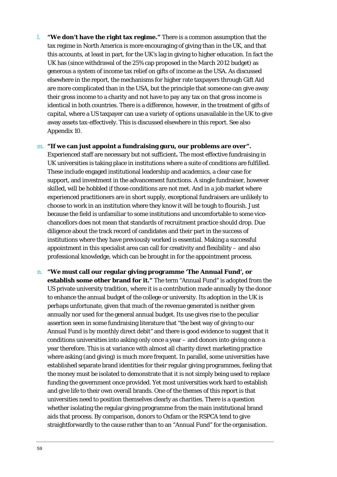l. **"We don't have the right tax regime."** There is a common assumption that th e tax regime in North America is more e ncouraging of giving than in the UK, and that this accounts, at least in part, for the UK's lag in giving to higher education. In fact the are more complicated than in the USA, but the principle that someone can give away identical in both countries. There is a difference, however, in the treatment of gifts of UK has (since withdrawal of the 25% cap proposed in the March 2012 budget) as generous a system of income tax relief on gifts of *income* as the USA. As discussed elsewhere in the report, the mechanisms for higher rate taxpayers through Gift Aid their gross income to a charity and not have to pay any tax on that gross income is *capital*, where a US taxpayer can use a variety of options unavailable in the UK to give away assets tax-effectively. This is discussed elsewhere in this report. See also Appendix 10.

### m. **"If we can just appoint a fundraising guru, our problems are over".**

Experienced staff are necessary but not sufficient. The most effective fundraising in UK universities is taking place in institutions where a suite of conditions are fulfilled. experienced practitioners are in short supply, exceptional fundraisers are unlikely to - because the field is unfamiliar to some institutions and uncomfortable to some vice . professional knowledge, which can be brought in for the appointment process These include engaged institutional leadership and academics, a clear case for support, and investment in the advancement functions. A single fundraiser, however skilled, will be hobbled if those conditions are not met. And in a job market where choose to work in an institution where they know it will be tough to flourish. Just chancellors does not mean that standards of recruitment practice should drop. Due diligence about the track record of candidates and their part in the success of institutions where they have previously worked is essential. Making a successful appointment in this specialist area can call for creativity and flexibility – and also

**establish some other brand for it."** The term "Annual Fund" is adopted from the US private university tradition, where it is a contribution made annually by the donor to enhance the annual budget of the college or university. Its adoption in the UK is Annual Fund is by monthly direct debit" and there is good evidence to suggest that it conditions universities into asking only once a year – and donors into giving once a year therefore. This is at variance with almost all charity direct marketing practice established separate brand identities for their regular giving programmes, feeling that the money must be isolated to demonstrate that it is not simply being used to replace straightforwardly to the cause rather than to an "Annual Fund" for the organisation. n. **"We must call our regular giving programme 'The Annual Fund', or**  perhaps unfortunate, given that much of the revenue generated is neither given annually nor used for the general annual budget. Its use gives rise to the peculiar assertion seen in some fundraising literature that "the best way of giving to our where asking (and giving) is much more frequent. In parallel, some universities have funding the government once provided. Yet most universities work hard to establish and give life to their own overall brands. One of the themes of this report is that universities need to position themselves clearly as charities. There is a question whether isolating the regular giving programme from the main institutional brand aids that process. By comparison, donors to Oxfam or the RSPCA tend to give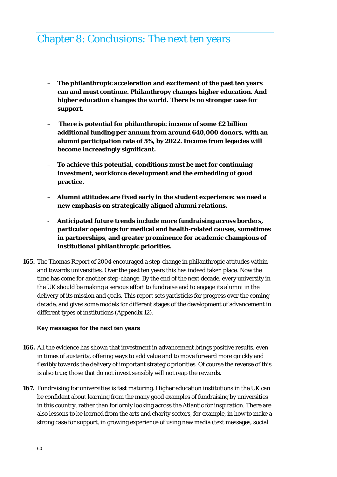### Chapter 8: Conclusions: The next ten years

- **The philanthropic acceleration and excitement of the past ten years can and must continue. Philanthropy changes higher education. And higher education changes the world. There is no stronger case for support.**
- – **There is potential for philanthropic income of some £2 billion additional funding per annum from around 640,000 donors, with an alumni participation rate of 5%, by 2022. Income from legacies will become increasingly significant.**
- **To achieve this potential, conditions must be met for continuing investment, workforce development and the embedding of good practice.**
- **Alumni attitudes are fixed early in the student experience: we need a new emphasis on strategically aligned alumni relations.**
- **Anticipated future trends include more fundraising across borders, particular openings for medical and health-related causes, sometimes in partnerships, and greater prominence for academic champions of institutional philanthropic priorities.**
- **165.** The Thomas Report of 2004 encouraged a step-change in philanthropic attitudes within and towards universities. Over the past ten years this has indeed taken place. Now the time has come for another step-change. By the end of the next decade, every university in the UK should be making a serious effort to fundraise and to engage its alumni in the delivery of its mission and goals. This report sets yardsticks for progress over the coming decade, and gives some models for different stages of the development of advancement in different types of institutions (Appendix 12).

### **Key messages for the next ten years**

- **166.** All the evidence has shown that investment in advancement brings positive results, even in times of austerity, offering ways to add value and to move forward more quickly and flexibly towards the delivery of important strategic priorities. Of course the reverse of this is also true; those that do not invest sensibly will not reap the rewards.
- **167.** Fundraising for universities is fast maturing. Higher education institutions in the UK can be confident about learning from the many good examples of fundraising by universities in this country, rather than forlornly looking across the Atlantic for inspiration. There are also lessons to be learned from the arts and charity sectors, for example, in how to make a strong case for support, in growing experience of using new media (text messages, social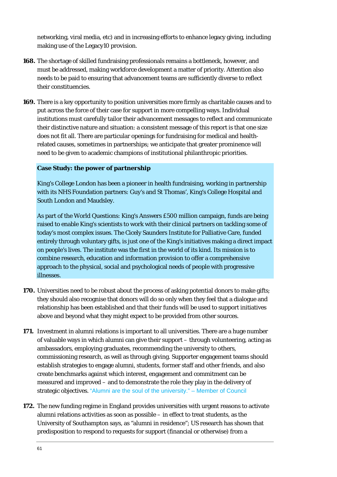networking, viral media, etc) and in increasing efforts to enhance legacy giv ing, including making use of the Legacy10 provision.

- **168.** The shortage of skilled fundraising professionals remains a bottleneck, however, and must be addressed, making workforce development a matter of priority. Attention also needs to be paid to ensuring that advancement teams are sufficiently diverse to reflect their constituencies.
- 169. There is a key opportunity to position universities more firmly as charitable causes and to put across the force of their case for support in more compelling ways. Individual institutions must carefully tailor their advancement messages to reflect and communicate their distinctive nature and situation: a consistent message of this report is that one size need to be given to academic champions of institutional philanthropic priorities. does not fit all. There are particular openings for fundraising for medical and healthrelated causes, sometimes in partnerships; we anticipate that greater prominence will

### **Case Study: the power of partnership**

King's College London has been a pioneer in health fundraising, working in partnership with its NHS Foundation partners: Guy's and St Thomas', King's College Hospital and South London and Maudsley.

As part of the World Questions: King's Answers £500 million campaign, funds are being raised to enable King's scientists to work with their clinical partners on tackling some of today's most complex issues. The Cicely Saunders Institute for Palliative Care, funded entirely through voluntary gifts, is just one of the King's initiatives making a direct impact on people's lives. The institute was the first in the world of its kind. Its mission is to combine research, education and information provision to offer a comprehensive approach to the physical, social and psychological needs of people with progressive illnesses.

- **170.** Universities need to be robust about the process of asking potential donors to make gifts; they should also recognise that donors will do so only when they feel that a dialogue and relationship has been established and that their funds will be used to support initiatives above and beyond what they might expect to b e provided from other sources.
- **171.** Investment in alumni relations is important to all universities. There are a huge number of valuable ways in which alumni can give their support – through volunteering, acting as create benchmarks against which interest, engagement and commitment can be measured and improved – and to demonstrate the role they play in the delivery of ambassadors, employing graduates, recommending the university to others, commissioning research, as well as through giving. Supporter engagement teams should establish strategies to engage alumni, students, former staff and other friends, and also strategic objectives. "Alumni are the soul of the university." – Member of Council
- predisposition to respond to requests for support (financial or otherwise) from a **172.** The new funding regime in England provides universities with urgent reasons to activate alumni relations activities as soon as possible – in effect to treat students, as the University of Southampton says, as "alumni in residence"; US research has shown that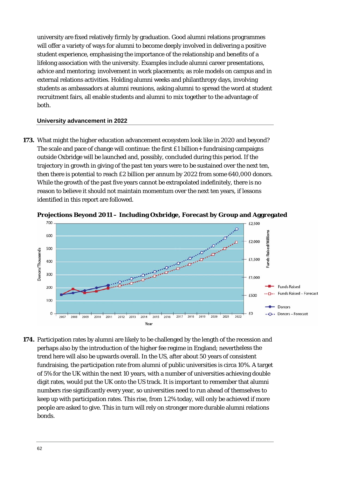university are fixed relatively firmly by graduation. Good alumni relations programmes will offer a variety of ways for alumni to become deeply involved in delivering a positive student experience, emphasising the importance of the relationship and benefits of a lifelong association with the university. Examples include alumni career presentations, advice and mentoring; involvement in work placements; as role models on campus and in students as ambassadors at alumni reunions, asking alumni to spread the word at student recruitment fairs, all enable students and alumni to mix together to the advantage of external relations activities. Holding alumni weeks and philanthropy days, involving both.

### **University advancement in 2022**

**173.** What might the higher education advancement ecosystem look like in 2020 and beyond? The scale and pace of change will continue: the first  $£1$  billion + fundraising campaigns outside Oxbridge will be launched and, possibly, concluded during this period. If the trajectory in growth in giving of the past ten years were to be sustained over the next ten, then there is potential to reach £2 billion per annum by 2022 from some 640,000 donors. identified in this report are followed. While the growth of the past five years cannot be extrapolated indefinitely, there is no reason to believe it should not maintain momentum over the next ten years, if lessons



**gated Projections Beyond 2011 – Including Oxbridge, Forecast by Group and Aggre**

perhaps also by the introduction of the higher fee regime in England; nevertheless the fundraising, the participation rate from alumni of public universities is circa 10%. A target of 5% for the UK within the next 10 years, with a number of universities achieving double digit rates, would put the UK onto the US track. It is important to remember that alumni numbers rise significantly every year, so universities need to run ahead of themselves to keep up with participation rates. This rise, from 1.2% today, will only be achieved if more **174.** Participation rates by alumni are likely to be challenged by the length of the recession and trend here will also be upwards overall. In the US, after about 50 years of consistent people are asked to give. This in turn will rely on stronger more durable alumni relations bonds.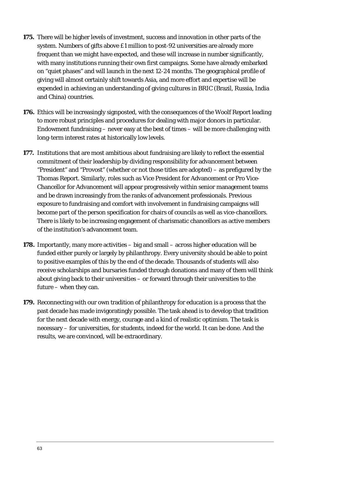- **175.** There will be higher levels of investment, success and innovation in other parts of the system. Numbers of gifts above £1 million to post-92 universities are already more frequent than we might have expected, and these will increase in number significantly , with many institutions running their own first campaigns. Some have already embarked on "quiet phases" and will launch in the next 12-24 months. The geographical profile of giving will almost certainly shift towards Asia, and more effort and expertise will be expended in achieving an understanding of giving cultures in BRIC (Brazil, Russia, India and China) countries.
- **176.** Ethics will be increasingly signposted, with the consequences of the Woolf Report leading to more robust principles and procedures for dealing with major donors in particular. Endowment fundraising – never easy at the best of times – will be more challenging with long-term interest rates at historically low levels.
- exposure to fundraising and comfort with involvement in fundraising campaigns will There is likely to be increasing engagement of charismatic chancellors as active members of the institution's advancement team. **177.** Institutions that are most ambitious about fundraising are likely to reflect the essential commitment of their leadership by dividing responsibility for advancement between "President" and "Provost" (whether or not those titles are adopted) – as prefigured by the Thomas Report. Similarly, roles such as Vice President for Advancement or Pro Vice-Chancellor for Advancement will appear progressively within senior management teams and be drawn increasingly from the ranks of advancement professionals. Previous become part of the person specification for chairs of councils as well as vice-chancellors.
- **178.** Importantly, many more activities big and small across higher education will be funded either purely or largely by philanthropy. Every university should be able to point to positive examples of this by the end of the decade. Thousands of students will also receive scholarships and bursaries funded through donations and many of them will think about giving back to their universities – or forward through their universities to the future – when they can.
- **179.** Reconnecting with our own tradition of philanthropy for education is a process that the past decade has made invigoratingly possible. The task ahead is to develop that tradition for the next decade with energy, courage and a kind of realistic optimism. The task is necessary – for universities, for students, indeed for the world. It can be done. And the results, we are convinced, will be extraordinary.